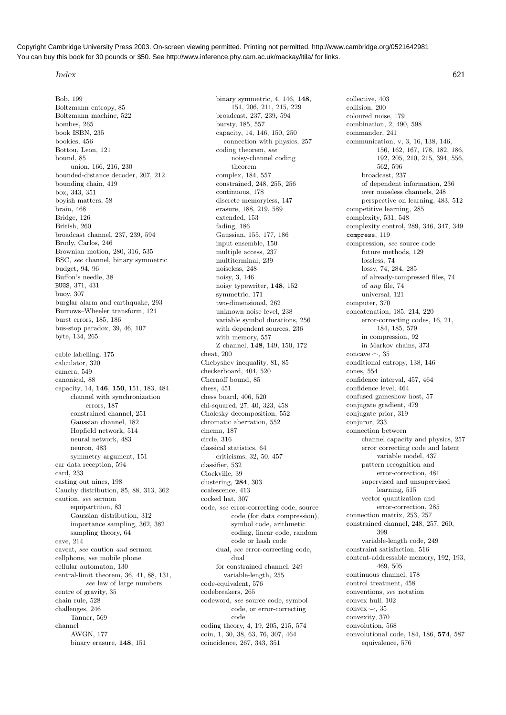Index 621

Bob, 199 Boltzmann entropy, 85 Boltzmann machine, 522 bombes, 265 book ISBN, 235 bookies, 456 Bottou, Leon, 121 bound, 85 union, 166, 216, 230 bounded-distance decoder, 207, 212 bounding chain, 419 box, 343, 351 boyish matters, 58 brain, 468 Bridge, 126 British, 260 broadcast channel, 237, 239, 594 Brody, Carlos, 246 Brownian motion, 280, 316, 535 BSC, see channel, binary symmetric budget, 94, 96 Buffon's needle, 38 BUGS, 371, 431 buoy, 307 burglar alarm and earthquake, 293 Burrows–Wheeler transform, 121 burst errors, 185, 186 bus-stop paradox, 39, 46, 107 byte, 134, 265 cable labelling, 175 calculator, 320 camera, 549 canonical, 88 capacity, 14, 146, 150, 151, 183, 484 channel with synchronization errors, 187 constrained channel, 251 Gaussian channel, 182 Hopfield network, 514 neural network, 483 neuron, 483 symmetry argument, 151 car data reception, 594 card, 233 casting out nines, 198 Cauchy distribution, 85, 88, 313, 362 caution, see sermon equipartition, 83 Gaussian distribution, 312 importance sampling, 362, 382 sampling theory, 64 cave, 214 caveat, see caution and sermon cellphone, see mobile phone cellular automaton, 130 central-limit theorem, 36, 41, 88, 131, see law of large numbers centre of gravity, 35 chain rule, 528 challenges, 246 Tanner, 569 channel AWGN, 177 binary erasure, 148, 151

binary symmetric, 4, 146, 148, 151, 206, 211, 215, 229 broadcast, 237, 239, 594 bursty, 185, 557 capacity, 14, 146, 150, 250 connection with physics, 257 coding theorem, see noisy-channel coding theorem complex, 184, 557 constrained, 248, 255, 256 continuous, 178 discrete memoryless, 147 erasure, 188, 219, 589 extended, 153 fading, 186 Gaussian, 155, 177, 186 input ensemble, 150 multiple access, 237 multiterminal, 239 noiseless, 248 noisy, 3, 146 noisy typewriter, 148, 152 symmetric, 171 two-dimensional, 262 unknown noise level, 238 variable symbol durations, 256 with dependent sources, 236 with memory, 557 Z channel, 148, 149, 150, 172 cheat, 200 Chebyshev inequality, 81, 85 checkerboard, 404, 520 Chernoff bound, 85 chess, 451 chess board, 406, 520 chi-squared, 27, 40, 323, 458 Cholesky decomposition, 552 chromatic aberration, 552 cinema, 187 circle, 316 classical statistics, 64 criticisms, 32, 50, 457 classifier, 532 Clockville, 39 clustering, 284, 303 coalescence, 413 cocked hat, 307 code, see error-correcting code, source code (for data compression), symbol code, arithmetic coding, linear code, random code or hash code dual, see error-correcting code, dual for constrained channel, 249 variable-length, 255 code-equivalent, 576 codebreakers, 265 codeword, see source code, symbol code, or error-correcting code coding theory, 4, 19, 205, 215, 574 coin, 1, 30, 38, 63, 76, 307, 464 coincidence, 267, 343, 351

collective, 403 collision, 200 coloured noise, 179 combination, 2, 490, 598 commander, 241 communication, v, 3, 16, 138, 146, 156, 162, 167, 178, 182, 186, 192, 205, 210, 215, 394, 556, 562, 596 broadcast, 237 of dependent information, 236 over noiseless channels, 248 perspective on learning, 483, 512 competitive learning, 285 complexity, 531, 548 complexity control, 289, 346, 347, 349 compress, 119 compression, see source code future methods, 129 lossless, 74 lossy, 74, 284, 285 of already-compressed files, 74 of any file, 74 universal, 121 computer, 370 concatenation, 185, 214, 220 error-correcting codes, 16, 21, 184, 185, 579 in compression, 92 in Markov chains, 373 concave  $\frown,$   $35$ conditional entropy, 138, 146 cones, 554 confidence interval, 457, 464 confidence level, 464 confused gameshow host, 57 conjugate gradient, 479 conjugate prior, 319 conjuror, 233 connection between channel capacity and physics, 257 error correcting code and latent variable model, 437 pattern recognition and error-correction, 481 supervised and unsupervised learning, 515 vector quantization and error-correction, 285 connection matrix, 253, 257 constrained channel, 248, 257, 260, 399 variable-length code, 249 constraint satisfaction, 516 content-addressable memory, 192, 193, 469, 505 continuous channel, 178 control treatment, 458 conventions, see notation convex hull, 102 convex $\sim$ , 35 convexity, 370 convolution, 568 convolutional code, 184, 186, 574, 587 equivalence, 576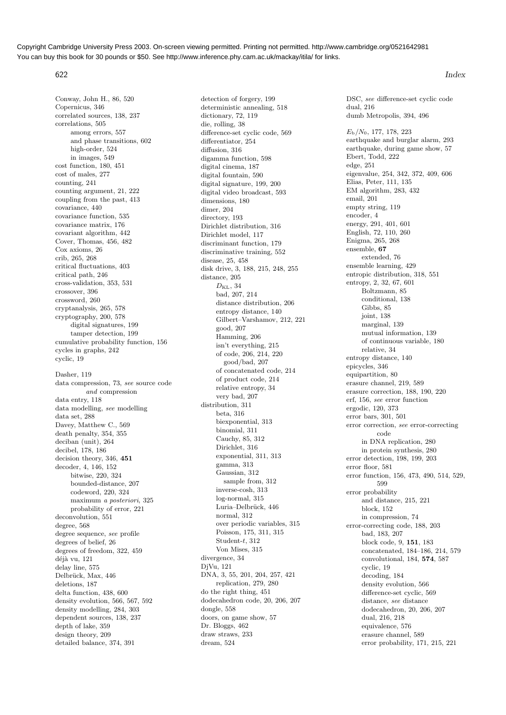Conway, John H., 86, 520 Copernicus, 346 correlated sources, 138, 237 correlations, 505 among errors, 557 and phase transitions, 602 high-order, 524 in images, 549 cost function, 180, 451 cost of males, 277 counting, 241 counting argument, 21, 222 coupling from the past, 413 covariance, 440 covariance function, 535 covariance matrix, 176 covariant algorithm, 442 Cover, Thomas, 456, 482 Cox axioms, 26 crib, 265, 268 critical fluctuations, 403 critical path, 246 cross-validation, 353, 531 crossover, 396 crossword, 260 cryptanalysis, 265, 578 cryptography, 200, 578 digital signatures, 199 tamper detection, 199 cumulative probability function, 156 cycles in graphs, 242 cyclic, 19 Dasher, 119 data compression, 73, see source code and compression data entry, 118 data modelling, see modelling data set, 288 Davey, Matthew C., 569 death penalty, 354, 355 deciban (unit), 264 decibel, 178, 186 decision theory, 346, 451 decoder, 4, 146, 152 bitwise, 220, 324 bounded-distance, 207 codeword, 220, 324 maximum a posteriori, 325 probability of error, 221 deconvolution, 551 degree, 568 degree sequence, see profile degrees of belief, 26 degrees of freedom, 322, 459 déjà vu, 121 delay line, 575 Delbrück, Max, 446 deletions, 187 delta function, 438, 600 density evolution, 566, 567, 592 density modelling, 284, 303 dependent sources, 138, 237 depth of lake, 359 design theory, 209 detailed balance, 374, 391

detection of forgery, 199 deterministic annealing, 518 dictionary, 72, 119 die, rolling, 38 difference-set cyclic code, 569 differentiator, 254 diffusion, 316 digamma function, 598 digital cinema, 187 digital fountain, 590 digital signature, 199, 200 digital video broadcast, 593 dimensions, 180 dimer, 204 directory, 193 Dirichlet distribution, 316 Dirichlet model, 117 discriminant function, 179 discriminative training, 552 disease, 25, 458 disk drive, 3, 188, 215, 248, 255 distance, 205  $D_{\text{KL}}$ , 34 bad, 207, 214 distance distribution, 206 entropy distance, 140 Gilbert–Varshamov, 212, 221 good, 207 Hamming, 206 isn't everything, 215 of code, 206, 214, 220 good/bad, 207 of concatenated code, 214 of product code, 214 relative entropy, 34 very bad, 207 distribution, 311 beta, 316 biexponential, 313 binomial, 311 Cauchy, 85, 312 Dirichlet, 316 exponential, 311, 313 gamma, 313 Gaussian, 312 sample from, 312 inverse-cosh, 313 log-normal, 315 Luria–Delbrück, 446 normal, 312 over periodic variables, 315 Poisson, 175, 311, 315 Student-t, 312 Von Mises, 315 divergence, 34 DjVu, 121 DNA, 3, 55, 201, 204, 257, 421 replication, 279, 280 do the right thing, 451 dodecahedron code, 20, 206, 207 dongle, 558 doors, on game show, 57 Dr. Bloggs, 462 draw straws, 233 dream, 524

dual, 216 dumb Metropolis, 394, 496  $E_{\rm b}/N_0$ , 177, 178, 223 earthquake and burglar alarm, 293 earthquake, during game show, 57 Ebert, Todd, 222 edge, 251 eigenvalue, 254, 342, 372, 409, 606 Elias, Peter, 111, 135 EM algorithm, 283, 432 email, 201 empty string, 119 encoder, 4 energy, 291, 401, 601 English, 72, 110, 260 Enigma, 265, 268 ensemble, 67 extended, 76 ensemble learning, 429 entropic distribution, 318, 551 entropy, 2, 32, 67, 601 Boltzmann, 85 conditional, 138 Gibbs, 85 joint, 138 marginal, 139 mutual information, 139 of continuous variable, 180 relative, 34 entropy distance, 140 epicycles, 346 equipartition, 80 erasure channel, 219, 589 erasure correction, 188, 190, 220 erf, 156, see error function ergodic, 120, 373 error bars, 301, 501 error correction, see error-correcting code in DNA replication, 280 in protein synthesis, 280 error detection, 198, 199, 203 error floor, 581 error function, 156, 473, 490, 514, 529, 599 error probability and distance, 215, 221 block, 152 in compression, 74 error-correcting code, 188, 203 bad, 183, 207 block code, 9, 151, 183 concatenated, 184–186, 214, 579 convolutional, 184, 574, 587 cyclic, 19 decoding, 184 density evolution, 566 difference-set cyclic, 569 distance, see distance dodecahedron, 20, 206, 207 dual, 216, 218 equivalence, 576 erasure channel, 589 error probability, 171, 215, 221

622 Index

DSC, see difference-set cyclic code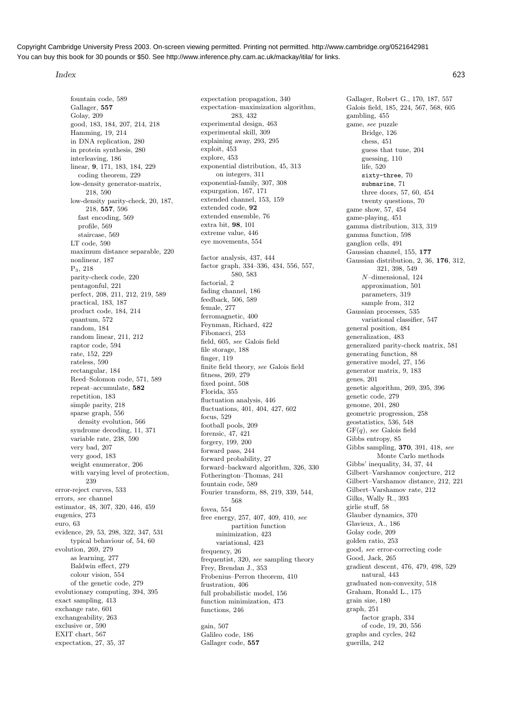Index 623

fountain code, 589 Gallager, 557 Golay, 209 good, 183, 184, 207, 214, 218 Hamming, 19, 214 in DNA replication, 280 in protein synthesis, 280 interleaving, 186 linear, 9, 171, 183, 184, 229 coding theorem, 229 low-density generator-matrix, 218, 590 low-density parity-check, 20, 187, 218, 557, 596 fast encoding, 569 profile, 569 staircase, 569 LT code, 590 maximum distance separable, 220 nonlinear, 187 P3, 218 parity-check code, 220 pentagonful, 221 perfect, 208, 211, 212, 219, 589 practical, 183, 187 product code, 184, 214 quantum, 572 random, 184 random linear, 211, 212 raptor code, 594 rate, 152, 229 rateless, 590 rectangular, 184 Reed–Solomon code, 571, 589 repeat–accumulate, 582 repetition, 183 simple parity, 218 sparse graph, 556 density evolution, 566 syndrome decoding, 11, 371 variable rate, 238, 590 very bad, 207 very good, 183 weight enumerator, 206 with varying level of protection, 239 error-reject curves, 533 errors, see channel estimator, 48, 307, 320, 446, 459 eugenics, 273 euro, 63 evidence, 29, 53, 298, 322, 347, 531 typical behaviour of, 54, 60 evolution, 269, 279 as learning, 277 Baldwin effect, 279 colour vision, 554 of the genetic code, 279 evolutionary computing, 394, 395 exact sampling, 413 exchange rate, 601 exchangeability, 263 exclusive or, 590 EXIT chart, 567 expectation, 27, 35, 37

expectation propagation, 340 expectation–maximization algorithm, 283, 432 experimental design, 463 experimental skill, 309 explaining away, 293, 295 exploit, 453 explore, 453 exponential distribution, 45, 313 on integers, 311 exponential-family, 307, 308 expurgation, 167, 171 extended channel, 153, 159 extended code, 92 extended ensemble, 76 extra bit, 98, 101 extreme value, 446 eye movements, 554 factor analysis, 437, 444 factor graph, 334–336, 434, 556, 557, 580, 583 factorial, 2 fading channel, 186 feedback, 506, 589 female, 277 ferromagnetic, 400 Feynman, Richard, 422 Fibonacci, 253 field, 605, see Galois field file storage, 188 finger, 119 finite field theory, see Galois field fitness, 269, 279 fixed point, 508 Florida, 355 fluctuation analysis, 446 fluctuations, 401, 404, 427, 602 focus, 529 football pools, 209 forensic, 47, 421 forgery, 199, 200 forward pass, 244 forward probability, 27 forward–backward algorithm, 326, 330 Fotherington–Thomas, 241 fountain code, 589 Fourier transform, 88, 219, 339, 544, 568 fovea, 554 free energy, 257, 407, 409, 410, see partition function minimization, 423 variational, 423 frequency, 26 frequentist, 320, see sampling theory Frey, Brendan J., 353 Frobenius–Perron theorem, 410 frustration, 406 full probabilistic model, 156 function minimization, 473 functions, 246

gain, 507 Galileo code, 186 Gallager code, 557 Gallager, Robert G., 170, 187, 557 Galois field, 185, 224, 567, 568, 605 gambling, 455 game, see puzzle Bridge, 126 chess, 451 guess that tune, 204 guessing, 110 life, 520 sixty-three, 70 submarine, 71 three doors, 57, 60, 454 twenty questions, 70 game show, 57, 454 game-playing, 451 gamma distribution, 313, 319 gamma function, 598 ganglion cells, 491 Gaussian channel, 155, 177 Gaussian distribution, 2, 36, 176, 312, 321, 398, 549 N–dimensional, 124 approximation, 501 parameters, 319 sample from,  $312$ Gaussian processes, 535 variational classifier, 547 general position, 484 generalization, 483 generalized parity-check matrix, 581 generating function, 88 generative model, 27, 156 generator matrix, 9, 183 genes, 201 genetic algorithm, 269, 395, 396 genetic code, 279 genome, 201, 280 geometric progression, 258 geostatistics, 536, 548  $GF(q)$ , see Galois field Gibbs entropy, 85 Gibbs sampling, 370, 391, 418, see Monte Carlo methods Gibbs' inequality, 34, 37, 44 Gilbert–Varshamov conjecture, 212 Gilbert–Varshamov distance, 212, 221 Gilbert–Varshamov rate, 212 Gilks, Wally R., 393 girlie stuff, 58 Glauber dynamics, 370 Glavieux, A., 186 Golay code, 209 golden ratio, 253 good, see error-correcting code Good, Jack, 265 gradient descent, 476, 479, 498, 529 natural, 443 graduated non-convexity, 518 Graham, Ronald L., 175 grain size, 180 graph, 251 factor graph, 334 of code, 19, 20, 556 graphs and cycles, 242 guerilla, 242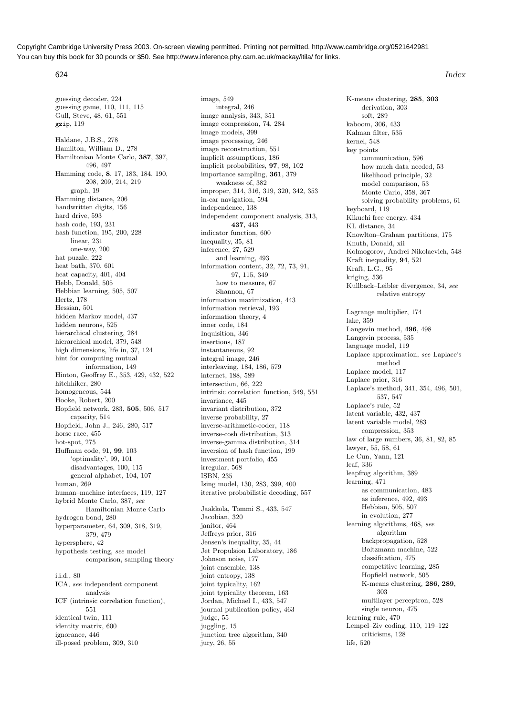guessing decoder, 224 guessing game, 110, 111, 115 Gull, Steve, 48, 61, 551 gzip, 119 Haldane, J.B.S., 278 Hamilton, William D., 278 Hamiltonian Monte Carlo, 387, 397, 496, 497 Hamming code, 8, 17, 183, 184, 190, 208, 209, 214, 219 graph, 19 Hamming distance, 206 handwritten digits, 156 hard drive, 593 hash code, 193, 231 hash function, 195, 200, 228 linear, 231 one-way, 200 hat puzzle, 222 heat bath, 370, 601 heat capacity, 401, 404 Hebb, Donald, 505 Hebbian learning, 505, 507 Hertz, 178 Hessian, 501 hidden Markov model, 437 hidden neurons, 525 hierarchical clustering, 284 hierarchical model, 379, 548 high dimensions, life in, 37, 124 hint for computing mutual information, 149 Hinton, Geoffrey E., 353, 429, 432, 522 hitchhiker, 280 homogeneous, 544 Hooke, Robert, 200 Hopfield network, 283, 505, 506, 517 capacity, 514 Hopfield, John J., 246, 280, 517 horse race, 455 hot-spot, 275 Huffman code, 91, 99, 103 'optimality', 99, 101 disadvantages, 100, 115 general alphabet, 104, 107 human, 269 human–machine interfaces, 119, 127 hybrid Monte Carlo, 387, see Hamiltonian Monte Carlo hydrogen bond, 280 hyperparameter, 64, 309, 318, 319, 379, 479 hypersphere, 42 hypothesis testing, see model comparison, sampling theory i.i.d., 80 ICA, see independent component analysis ICF (intrinsic correlation function), 551 identical twin, 111 identity matrix, 600 ignorance, 446 ill-posed problem, 309, 310

image, 549 integral, 246 image analysis, 343, 351 image compression, 74, 284 image models, 399 image processing, 246 image reconstruction, 551 implicit assumptions, 186 implicit probabilities, 97, 98, 102 importance sampling, 361, 379 weakness of, 382 improper, 314, 316, 319, 320, 342, 353 in-car navigation, 594 independence, 138 independent component analysis, 313, 437, 443 indicator function, 600 inequality, 35, 81 inference, 27, 529 and learning, 493 information content, 32, 72, 73, 91, 97, 115, 349 how to measure, 67 Shannon, 67 information maximization, 443 information retrieval, 193 information theory, 4 inner code, 184 Inquisition, 346 insertions, 187 instantaneous, 92 integral image, 246 interleaving, 184, 186, 579 internet, 188, 589 intersection, 66, 222 intrinsic correlation function, 549, 551 invariance, 445 invariant distribution, 372 inverse probability, 27 inverse-arithmetic-coder, 118 inverse-cosh distribution, 313 inverse-gamma distribution, 314 inversion of hash function, 199 investment portfolio, 455 irregular, 568 ISBN, 235 Ising model, 130, 283, 399, 400 iterative probabilistic decoding, 557 Jaakkola, Tommi S., 433, 547 Jacobian, 320 janitor, 464 Jeffreys prior, 316 Jensen's inequality, 35, 44 Jet Propulsion Laboratory, 186 Johnson noise, 177 joint ensemble, 138 joint entropy, 138 joint typicality, 162 joint typicality theorem, 163 Jordan, Michael I., 433, 547 journal publication policy, 463 judge, 55 juggling, 15 junction tree algorithm, 340 jury, 26, 55

K-means clustering, 285, 303 derivation, 303 soft, 289 kaboom, 306, 433 Kalman filter, 535 kernel, 548 key points communication, 596 how much data needed, 53 likelihood principle, 32 model comparison, 53 Monte Carlo, 358, 367 solving probability problems, 61 keyboard, 119 Kikuchi free energy, 434 KL distance, 34 Knowlton–Graham partitions, 175 Knuth, Donald, xii Kolmogorov, Andrei Nikolaevich, 548 Kraft inequality, 94, 521 Kraft, L.G., 95 kriging, 536 Kullback–Leibler divergence, 34, see relative entropy Lagrange multiplier, 174 lake, 359 Langevin method, 496, 498 Langevin process, 535 language model, 119 Laplace approximation, see Laplace's method Laplace model, 117 Laplace prior, 316 Laplace's method, 341, 354, 496, 501, 537, 547 Laplace's rule, 52 latent variable, 432, 437 latent variable model, 283 compression, 353 law of large numbers, 36, 81, 82, 85 lawyer, 55, 58, 61 Le Cun, Yann, 121 leaf, 336 leapfrog algorithm, 389 learning, 471 as communication, 483 as inference, 492, 493 Hebbian, 505, 507 in evolution, 277 learning algorithms, 468, see algorithm backpropagation, 528 Boltzmann machine, 522 classification, 475 competitive learning, 285 Hopfield network, 505 K-means clustering, 286, 289, 303 multilayer perceptron, 528 single neuron, 475 learning rule, 470 Lempel–Ziv coding, 110, 119–122 criticisms, 128 life, 520

624 Index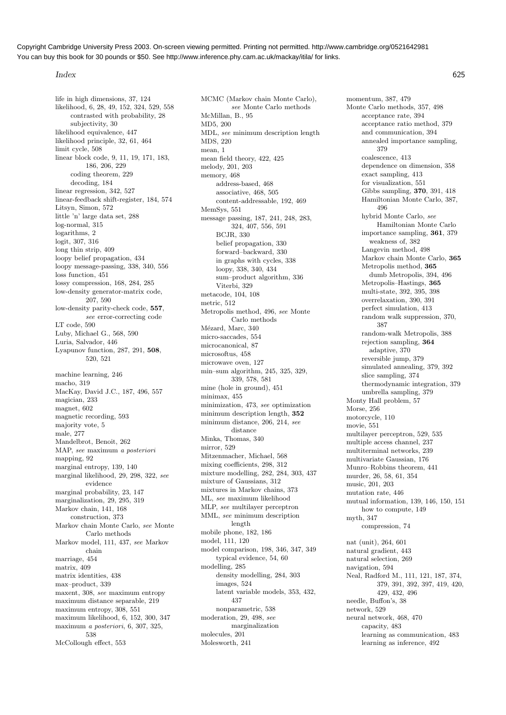Index 625

life in high dimensions, 37, 124 likelihood, 6, 28, 49, 152, 324, 529, 558 contrasted with probability, 28 subjectivity, 30 likelihood equivalence, 447 likelihood principle, 32, 61, 464 limit cycle, 508 linear block code, 9, 11, 19, 171, 183, 186, 206, 229 coding theorem, 229 decoding, 184 linear regression, 342, 527 linear-feedback shift-register, 184, 574 Litsyn, Simon, 572 little 'n' large data set, 288 log-normal, 315 logarithms, 2 logit, 307, 316 long thin strip, 409 loopy belief propagation, 434 loopy message-passing, 338, 340, 556 loss function, 451 lossy compression, 168, 284, 285 low-density generator-matrix code, 207, 590 low-density parity-check code, 557, see error-correcting code  $LT code$  590 Luby, Michael G., 568, 590 Luria, Salvador, 446 Lyapunov function, 287, 291, 508, 520, 521 machine learning, 246 macho, 319 MacKay, David J.C., 187, 496, 557 magician, 233 magnet, 602 magnetic recording, 593 majority vote, 5 male, 277 Mandelbrot, Benoit, 262 MAP, see maximum a posteriori mapping, 92 marginal entropy, 139, 140 marginal likelihood, 29, 298, 322, see evidence marginal probability, 23, 147 marginalization, 29, 295, 319 Markov chain, 141, 168 construction, 373 Markov chain Monte Carlo, see Monte Carlo methods Markov model, 111, 437, see Markov chain marriage, 454 matrix, 409 matrix identities, 438 max–product, 339 maxent, 308, see maximum entropy maximum distance separable, 219 maximum entropy, 308, 551 maximum likelihood, 6, 152, 300, 347 maximum a posteriori, 6, 307, 325, 538 McCollough effect, 553

MCMC (Markov chain Monte Carlo), see Monte Carlo methods McMillan, B., 95 MD5, 200 MDL, see minimum description length MDS, 220 mean, 1 mean field theory, 422, 425 melody, 201, 203 memory, 468 address-based, 468 associative, 468, 505 content-addressable, 192, 469 MemSys, 551 message passing, 187, 241, 248, 283, 324, 407, 556, 591 BCJR, 330 belief propagation, 330 forward–backward, 330 in graphs with cycles, 338 loopy, 338, 340, 434 sum–product algorithm, 336 Viterbi, 329 metacode, 104, 108 metric, 512 Metropolis method, 496, see Monte Carlo methods Mézard, Marc, 340 micro-saccades, 554 microcanonical, 87 microsoftus, 458 microwave oven, 127 min–sum algorithm, 245, 325, 329, 339, 578, 581 mine (hole in ground), 451 minimax, 455 minimization, 473, see optimization minimum description length, 352 minimum distance, 206, 214, see distance Minka, Thomas, 340 mirror, 529 Mitzenmacher, Michael, 568 mixing coefficients, 298, 312 mixture modelling, 282, 284, 303, 437 mixture of Gaussians, 312 mixtures in Markov chains, 373 ML, see maximum likelihood MLP, see multilayer perceptron MML, see minimum description length mobile phone, 182, 186 model, 111, 120 model comparison, 198, 346, 347, 349 typical evidence, 54, 60 modelling, 285 density modelling, 284, 303 images, 524 latent variable models, 353, 432, 437 nonparametric, 538 moderation, 29, 498, see marginalization molecules, 201 Molesworth, 241

momentum, 387, 479 Monte Carlo methods, 357, 498 acceptance rate, 394 acceptance ratio method, 379 and communication, 394 annealed importance sampling, 379 coalescence, 413 dependence on dimension, 358 exact sampling, 413 for visualization, 551 Gibbs sampling, 370, 391, 418 Hamiltonian Monte Carlo, 387, 496 hybrid Monte Carlo, see Hamiltonian Monte Carlo importance sampling, 361, 379 weakness of, 382 Langevin method, 498 Markov chain Monte Carlo, 365 Metropolis method, 365 dumb Metropolis, 394, 496 Metropolis–Hastings, 365 multi-state, 392, 395, 398 overrelaxation, 390, 391 perfect simulation, 413 random walk suppression, 370, 387 random-walk Metropolis, 388 rejection sampling, 364 adaptive, 370 reversible jump, 379 simulated annealing, 379, 392 slice sampling, 374 thermodynamic integration, 379 umbrella sampling, 379 Monty Hall problem, 57 Morse, 256 motorcycle, 110 movie, 551 multilayer perceptron, 529, 535 multiple access channel, 237 multiterminal networks, 239 multivariate Gaussian, 176 Munro–Robbins theorem, 441 murder, 26, 58, 61, 354 music, 201, 203 mutation rate, 446 mutual information, 139, 146, 150, 151 how to compute, 149 myth, 347 compression, 74 nat (unit), 264, 601 natural gradient, 443 natural selection, 269 navigation, 594 Neal, Radford M., 111, 121, 187, 374, 379, 391, 392, 397, 419, 420, 429, 432, 496 needle, Buffon's, 38 network, 529 neural network, 468, 470 capacity, 483 learning as communication, 483

learning as inference, 492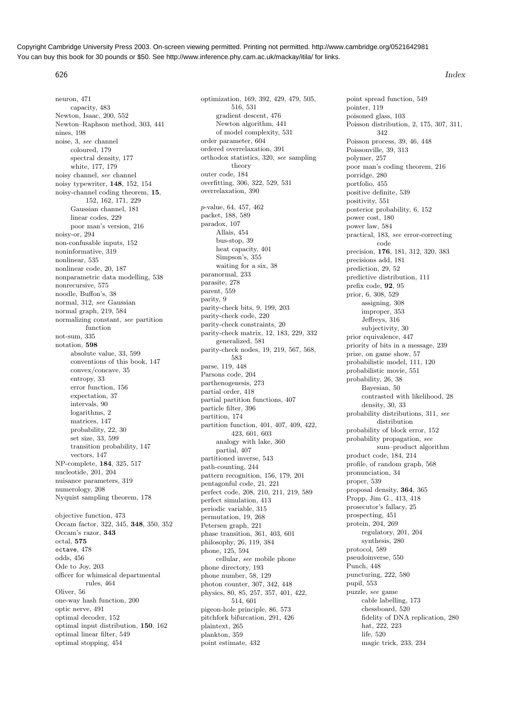neuron, 471 capacity, 483 Newton, Isaac, 200, 552 Newton–Raphson method, 303, 441 nines, 198 noise, 3, see channel coloured, 179 spectral density, 177 white, 177, 179 noisy channel, see channel noisy typewriter, 148, 152, 154 noisy-channel coding theorem, 15, 152, 162, 171, 229 Gaussian channel, 181 linear codes, 229 poor man's version, 216 noisy-or, 294 non-confusable inputs, 152 noninformative, 319 nonlinear, 535 nonlinear code, 20, 187 nonparametric data modelling, 538 nonrecursive, 575 noodle, Buffon's, 38 normal, 312, see Gaussian normal graph, 219, 584 normalizing constant, see partition function not-sum, 335 notation, 598 absolute value, 33, 599 conventions of this book, 147 convex/concave, 35 entropy, 33 error function, 156 expectation, 37 intervals, 90 logarithms, 2 matrices, 147 probability, 22, 30 set size, 33, 599 transition probability, 147 vectors, 147 NP-complete, 184, 325, 517 nucleotide, 201, 204 nuisance parameters, 319 numerology, 208 Nyquist sampling theorem, 178 objective function, 473 Occam factor, 322, 345, 348, 350, 352 Occam's razor, 343 octal, 575 octave, 478 odds, 456 Ode to Joy, 203 officer for whimsical departmental rules, 464 Oliver, 56 one-way hash function, 200 optic nerve, 491 optimal decoder, 152 optimal input distribution, 150, 162 optimal linear filter, 549 optimal stopping, 454

optimization, 169, 392, 429, 479, 505, 516, 531 gradient descent, 476 Newton algorithm, 441 of model complexity, 531 order parameter, 604 ordered overrelaxation, 391 orthodox statistics, 320, see sampling theory outer code, 184 overfitting, 306, 322, 529, 531 overrelaxation, 390 p-value, 64, 457, 462 packet, 188, 589 paradox, 107 Allais, 454 bus-stop, 39 heat capacity, 401 Simpson's, 355 waiting for a six, 38 paranormal, 233 parasite, 278 parent, 559 parity, 9 parity-check bits, 9, 199, 203 parity-check code, 220 parity-check constraints, 20 parity-check matrix, 12, 183, 229, 332 generalized, 581 parity-check nodes, 19, 219, 567, 568, 583 parse, 119, 448 Parsons code, 204 parthenogenesis, 273 partial order, 418 partial partition functions, 407 particle filter, 396 partition, 174 partition function, 401, 407, 409, 422, 423, 601, 603 analogy with lake, 360 partial, 407 partitioned inverse, 543 path-counting, 244 pattern recognition, 156, 179, 201 pentagonful code, 21, 221 perfect code, 208, 210, 211, 219, 589 perfect simulation, 413 periodic variable, 315 permutation, 19, 268 Petersen graph, 221 phase transition, 361, 403, 601 philosophy, 26, 119, 384 phone, 125, 594 cellular, see mobile phone phone directory, 193 phone number, 58, 129 photon counter, 307, 342, 448 physics, 80, 85, 257, 357, 401, 422, 514, 601 pigeon-hole principle, 86, 573 pitchfork bifurcation, 291, 426 plaintext, 265 plankton, 359 point estimate, 432

point spread function, 549 pointer, 119 poisoned glass, 103 Poisson distribution, 2, 175, 307, 311, 342 Poisson process, 39, 46, 448 Poissonville, 39, 313 polymer, 257 poor man's coding theorem, 216 porridge, 280 portfolio, 455 positive definite, 539 positivity, 551 posterior probability, 6, 152 power cost, 180 power law, 584 practical, 183, see error-correcting code precision, 176, 181, 312, 320, 383 precisions add, 181 prediction, 29, 52 predictive distribution, 111 prefix code, 92, 95 prior, 6, 308, 529 assigning, 308 improper, 353 Jeffreys, 316 subjectivity, 30 prior equivalence, 447 priority of bits in a message, 239 prize, on game show, 57 probabilistic model, 111, 120 probabilistic movie, 551 probability, 26, 38 Bayesian, 50 contrasted with likelihood, 28 density, 30, 33 probability distributions, 311, see distribution probability of block error, 152 probability propagation, see sum–product algorithm product code, 184, 214 profile, of random graph, 568 pronunciation, 34 proper, 539 proposal density, 364, 365 Propp, Jim G., 413, 418 prosecutor's fallacy, 25 prospecting, 451 protein, 204, 269 regulatory, 201, 204 synthesis, 280 protocol, 589 pseudoinverse, 550 Punch, 448 puncturing, 222, 580 pupil, 553 puzzle, see game cable labelling, 173 chessboard, 520 fidelity of DNA replication, 280 hat, 222, 223 life, 520 magic trick, 233, 234

# $626$  Index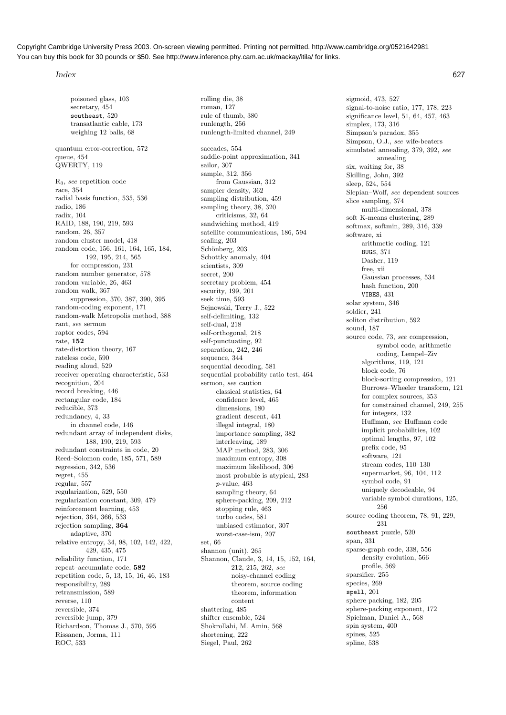Index 627

poisoned glass, 103 secretary, 454 southeast, 520 transatlantic cable, 173 weighing 12 balls, 68 quantum error-correction, 572 queue, 454 QWERTY, 119 R3, see repetition code race, 354 radial basis function, 535, 536 radio, 186 radix, 104 RAID, 188, 190, 219, 593 random, 26, 357 random cluster model, 418 random code, 156, 161, 164, 165, 184, 192, 195, 214, 565 for compression, 231 random number generator, 578 random variable, 26, 463 random walk, 367 suppression, 370, 387, 390, 395 random-coding exponent, 171 random-walk Metropolis method, 388 rant, see sermon raptor codes, 594 rate, 152 rate-distortion theory, 167 rateless code, 590 reading aloud, 529 receiver operating characteristic, 533 recognition, 204 record breaking, 446 rectangular code, 184 reducible, 373 redundancy, 4, 33 in channel code, 146 redundant array of independent disks, 188, 190, 219, 593 redundant constraints in code, 20 Reed–Solomon code, 185, 571, 589 regression, 342, 536 regret, 455 regular, 557 regularization, 529, 550 regularization constant, 309, 479 reinforcement learning, 453 rejection, 364, 366, 533 rejection sampling, 364 adaptive, 370 relative entropy, 34, 98, 102, 142, 422, 429, 435, 475 reliability function, 171 repeat–accumulate code, 582 repetition code, 5, 13, 15, 16, 46, 183 responsibility, 289 retransmission, 589 reverse, 110 reversible, 374 reversible jump, 379 Richardson, Thomas J., 570, 595 Rissanen, Jorma, 111 ROC, 533

rolling die, 38 roman, 127 rule of thumb, 380 runlength, 256 runlength-limited channel, 249 saccades, 554 saddle-point approximation, 341 sailor, 307 sample, 312, 356 from Gaussian, 312 sampler density, 362 sampling distribution, 459 sampling theory, 38, 320 criticisms, 32, 64 sandwiching method, 419 satellite communications, 186, 594 scaling, 203 Schönberg, 203 Schottky anomaly, 404 scientists, 309 secret, 200 secretary problem, 454 security, 199, 201 seek time, 593 Sejnowski, Terry J., 522 self-delimiting, 132 self-dual, 218 self-orthogonal, 218 self-punctuating, 92 separation, 242, 246 sequence, 344 sequential decoding, 581 sequential probability ratio test, 464 sermon, see caution classical statistics, 64 confidence level, 465 dimensions, 180 gradient descent, 441 illegal integral, 180 importance sampling, 382 interleaving, 189 MAP method, 283, 306 maximum entropy, 308 maximum likelihood, 306 most probable is atypical, 283 p-value, 463 sampling theory, 64 sphere-packing, 209, 212 stopping rule, 463 turbo codes, 581 unbiased estimator, 307 worst-case-ism, 207 set, 66 shannon (unit), 265 Shannon, Claude, 3, 14, 15, 152, 164, 212, 215, 262, see noisy-channel coding theorem, source coding theorem, information content shattering, 485 shifter ensemble, 524 Shokrollahi, M. Amin, 568 shortening, 222 Siegel, Paul, 262

sigmoid, 473, 527 signal-to-noise ratio, 177, 178, 223 significance level, 51, 64, 457, 463 simplex, 173, 316 Simpson's paradox, 355 Simpson, O.J., see wife-beaters simulated annealing, 379, 392, see annealing six, waiting for, 38 Skilling, John, 392 sleep, 524, 554 Slepian–Wolf, see dependent sources slice sampling, 374 multi-dimensional, 378 soft K-means clustering, 289 softmax, softmin, 289, 316, 339 software, xi arithmetic coding, 121 BUGS, 371 Dasher, 119 free, xii Gaussian processes, 534 hash function, 200 VIBES, 431 solar system, 346 soldier, 241 soliton distribution, 592 sound, 187 source code, 73, see compression, symbol code, arithmetic coding, Lempel–Ziv algorithms, 119, 121 block code, 76 block-sorting compression, 121 Burrows–Wheeler transform, 121 for complex sources, 353 for constrained channel, 249, 255 for integers, 132 Huffman, see Huffman code implicit probabilities, 102 optimal lengths, 97, 102 prefix code, 95 software, 121 stream codes, 110–130 supermarket, 96, 104, 112 symbol code, 91 uniquely decodeable, 94 variable symbol durations, 125, 256 source coding theorem, 78, 91, 229, 231 southeast puzzle, 520 span, 331 sparse-graph code, 338, 556 density evolution, 566 profile, 569 sparsifier, 255 species, 269 spell, 201 sphere packing, 182, 205 sphere-packing exponent, 172 Spielman, Daniel A., 568 spin system, 400 spines, 525 spline, 538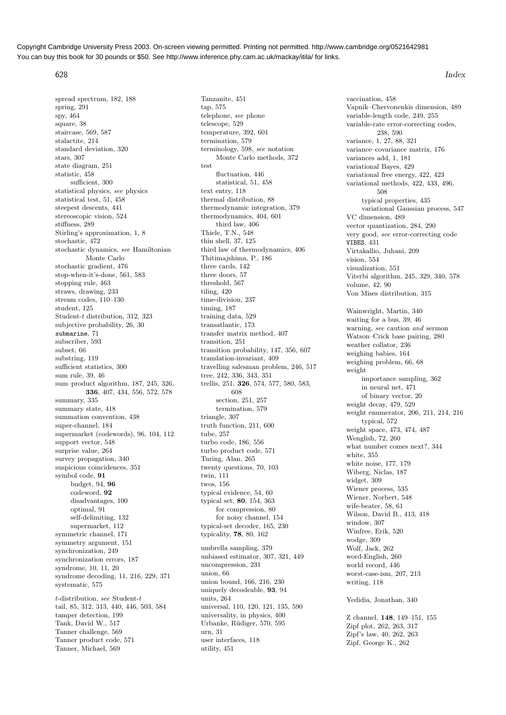spread spectrum, 182, 188 spring, 291 spy, 464 square, 38 staircase, 569, 587 stalactite, 214 standard deviation, 320 stars, 307 state diagram, 251 statistic, 458 sufficient, 300 statistical physics, see physics statistical test, 51, 458 steepest descents, 441 stereoscopic vision, 524 stiffness, 289 Stirling's approximation, 1, 8 stochastic, 472 stochastic dynamics, see Hamiltonian Monte Carlo stochastic gradient, 476 stop-when-it's-done, 561, 583 stopping rule, 463 straws, drawing, 233 stream codes, 110–130 student, 125 Student-t distribution, 312, 323 subjective probability, 26, 30 submarine, 71 subscriber, 593 subset, 66 substring, 119 sufficient statistics, 300 sum rule, 39, 46 sum–product algorithm, 187, 245, 326, 336, 407, 434, 556, 572, 578 summary, 335 summary state, 418 summation convention, 438 super-channel, 184 supermarket (codewords), 96, 104, 112 support vector, 548 surprise value, 264 survey propagation, 340 suspicious coincidences, 351 symbol code, 91 budget, 94, 96 codeword, 92 disadvantages, 100 optimal, 91 self-delimiting, 132 supermarket, 112 symmetric channel, 171 symmetry argument, 151 synchronization, 249 synchronization errors, 187 syndrome, 10, 11, 20 syndrome decoding, 11, 216, 229, 371 systematic, 575 t-distribution, see Student-t tail, 85, 312, 313, 440, 446, 503, 584 tamper detection, 199 Tank, David W., 517 Tanner challenge, 569 Tanner product code, 571 Tanner, Michael, 569

Tanzanite, 451 tap, 575 telephone, see phone telescope, 529 temperature, 392, 601 termination, 579 terminology, 598, see notation Monte Carlo methods, 372 test fluctuation, 446 statistical, 51, 458 text entry, 118 thermal distribution, 88 thermodynamic integration, 379 thermodynamics, 404, 601 third law, 406 Thiele, T.N., 548 thin shell, 37, 125 third law of thermodynamics, 406 Thitimajshima, P., 186 three cards, 142 three doors, 57 threshold, 567 tiling, 420 time-division, 237 timing, 187 training data, 529 transatlantic, 173 transfer matrix method, 407 transition, 251 transition probability, 147, 356, 607 translation-invariant, 409 travelling salesman problem, 246, 517 tree, 242, 336, 343, 351 trellis, 251, 326, 574, 577, 580, 583, 608 section, 251, 257 termination, 579 triangle, 307 truth function, 211, 600 tube, 257 turbo code, 186, 556 turbo product code, 571 Turing, Alan, 265 twenty questions, 70, 103 twin, 111 twos, 156 typical evidence, 54, 60 typical set, 80, 154, 363 for compression, 80 for noisy channel, 154 typical-set decoder, 165, 230 typicality, 78, 80, 162 umbrella sampling, 379 unbiased estimator, 307, 321, 449 uncompression, 231 union, 66 union bound, 166, 216, 230 uniquely decodeable, 93, 94 units, 264 universal, 110, 120, 121, 135, 590 universality, in physics, 400 Urbanke, Rüdiger, 570, 595 urn, 31

user interfaces, 118 utility, 451

vaccination, 458 Vapnik–Chervonenkis dimension, 489 variable-length code, 249, 255 variable-rate error-correcting codes, 238, 590 variance, 1, 27, 88, 321 variance–covariance matrix, 176 variances add, 1, 181 variational Bayes, 429 variational free energy, 422, 423 variational methods, 422, 433, 496, 508 typical properties, 435 variational Gaussian process, 547 VC dimension, 489 vector quantization, 284, 290 very good, see error-correcting code VIBES, 431 Virtakallio, Juhani, 209 vision, 554 visualization, 551 Viterbi algorithm, 245, 329, 340, 578 volume, 42, 90 Von Mises distribution, 315 Wainwright, Martin, 340 waiting for a bus, 39, 46 warning, see caution and sermon Watson–Crick base pairing, 280 weather collator, 236 weighing babies, 164 weighing problem, 66, 68 weight importance sampling, 362 in neural net, 471 of binary vector, 20 weight decay, 479, 529 weight enumerator, 206, 211, 214, 216 typical, 572 weight space, 473, 474, 487 Wenglish, 72, 260 what number comes next?, 344 white, 355 white noise, 177, 179 Wiberg, Niclas, 187 widget, 309 Wiener process, 535 Wiener, Norbert, 548 wife-beater, 58, 61 Wilson, David B., 413, 418 window, 307 Winfree, Erik, 520 wodge, 309 Wolf, Jack, 262 word-English, 260 world record, 446 worst-case-ism, 207, 213 writing, 118 Yedidia, Jonathan, 340 Z channel, 148, 149–151, 155 Zipf plot, 262, 263, 317 Zipf's law, 40, 262, 263

Zipf, George K., 262

# 628 Index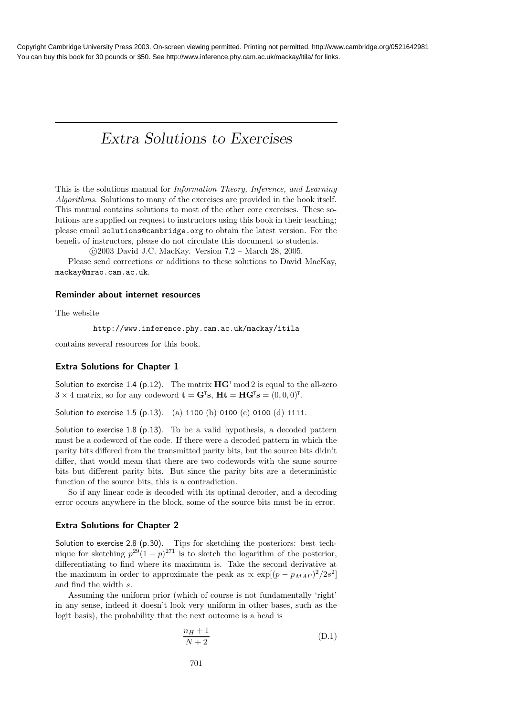# Extra Solutions to Exercises

This is the solutions manual for Information Theory, Inference, and Learning Algorithms. Solutions to many of the exercises are provided in the book itself. This manual contains solutions to most of the other core exercises. These solutions are supplied on request to instructors using this book in their teaching; please email solutions@cambridge.org to obtain the latest version. For the benefit of instructors, please do not circulate this document to students.

c 2003 David J.C. MacKay. Version 7.2 – March 28, 2005.

Please send corrections or additions to these solutions to David MacKay, mackay@mrao.cam.ac.uk.

#### Reminder about internet resources

The website

http://www.inference.phy.cam.ac.uk/mackay/itila

contains several resources for this book.

# Extra Solutions for Chapter 1

Solution to exercise 1.4 (p.12). The matrix  $\mathbf{H} \mathbf{G}^{\mathsf{T}}$  mod 2 is equal to the all-zero  $3 \times 4$  matrix, so for any codeword  $\mathbf{t} = \mathbf{G}^{\mathsf{T}}\mathbf{s}$ ,  $\mathbf{H}\mathbf{t} = \mathbf{H}\mathbf{G}^{\mathsf{T}}\mathbf{s} = (0,0,0)^{\mathsf{T}}$ .

Solution to exercise 1.5 (p.13). (a) 1100 (b) 0100 (c) 0100 (d) 1111.

Solution to exercise 1.8 (p.13). To be a valid hypothesis, a decoded pattern must be a codeword of the code. If there were a decoded pattern in which the parity bits differed from the transmitted parity bits, but the source bits didn't differ, that would mean that there are two codewords with the same source bits but different parity bits. But since the parity bits are a deterministic function of the source bits, this is a contradiction.

So if any linear code is decoded with its optimal decoder, and a decoding error occurs anywhere in the block, some of the source bits must be in error.

#### Extra Solutions for Chapter 2

Solution to exercise 2.8 (p.30). Tips for sketching the posteriors: best technique for sketching  $p^{29}(1-p)^{271}$  is to sketch the logarithm of the posterior, differentiating to find where its maximum is. Take the second derivative at the maximum in order to approximate the peak as  $\propto \exp[(p - p_{MAP})^2/2s^2]$ and find the width s.

Assuming the uniform prior (which of course is not fundamentally 'right' in any sense, indeed it doesn't look very uniform in other bases, such as the logit basis), the probability that the next outcome is a head is

$$
\frac{n_H + 1}{N + 2} \tag{D.1}
$$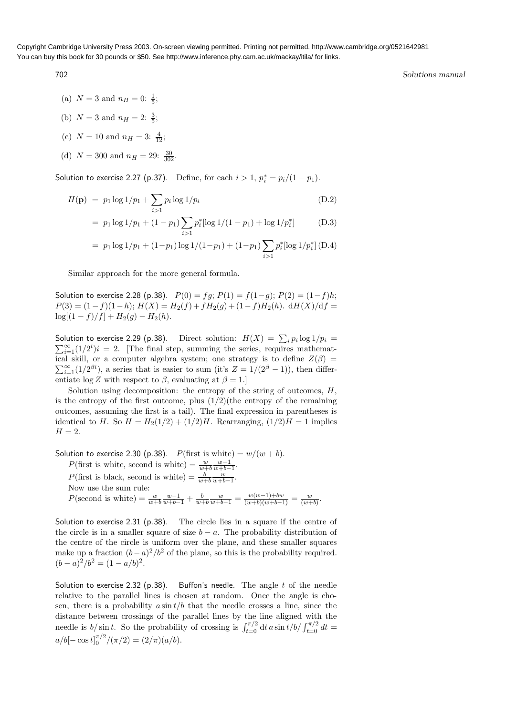- (a)  $N = 3$  and  $n_H = 0: \frac{1}{5}$ ;
- (b)  $N = 3$  and  $n_H = 2: \frac{3}{5}$ ;
- (c)  $N = 10$  and  $n_H = 3: \frac{4}{12}$ ;
- (d)  $N = 300$  and  $n_H = 29: \frac{30}{302}$ .

Solution to exercise 2.27 (p.37). Define, for each  $i > 1$ ,  $p_i^* = p_i/(1 - p_1)$ .

$$
H(\mathbf{p}) = p_1 \log 1/p_1 + \sum_{i>1} p_i \log 1/p_i \tag{D.2}
$$

= 
$$
p_1 \log 1/p_1 + (1 - p_1) \sum_{i>1} p_i^* [\log 1/(1 - p_1) + \log 1/p_i^*]
$$
 (D.3)

= 
$$
p_1 \log 1/p_1 + (1-p_1) \log 1/(1-p_1) + (1-p_1) \sum_{i>1} p_i^* [\log 1/p_i^*] \text{ (D.4)}
$$

Similar approach for the more general formula.

Solution to exercise 2.28 (p.38).  $P(0) = fg$ ;  $P(1) = f(1-g)$ ;  $P(2) = (1-f)h$ ;  $P(3) = (1-f)(1-h);$   $H(X) = H_2(f) + fH_2(g) + (1-f)H_2(h)$ . d $H(X)/df =$  $\log[(1-f)/f] + H_2(g) - H_2(h).$ 

Solution to exercise 2.29 (p.38). Direct solution:  $H(X) = \sum_i p_i \log 1/p_i =$  $\sum_{i=1}^{\infty} (1/2^i)i = 2$ . [The final step, summing the series, requires mathematical skill, or a computer algebra system; one strategy is to define  $Z(\beta)$  =  $\sum_{i=1}^{\infty} (1/2^{\beta i})$ , a series that is easier to sum (it's  $Z = 1/(2^{\beta} - 1)$ ), then differentiate log Z with respect to  $\beta$ , evaluating at  $\beta = 1$ .]

Solution using decomposition: the entropy of the string of outcomes,  $H$ , is the entropy of the first outcome, plus  $(1/2)$ (the entropy of the remaining outcomes, assuming the first is a tail). The final expression in parentheses is identical to H. So  $H = H_2(1/2) + (1/2)H$ . Rearranging,  $(1/2)H = 1$  implies  $H = 2.$ 

Solution to exercise 2.30 (p.38).  $P$ (first is white) =  $w/(w + b)$ . P(first is white, second is white) =  $\frac{w}{w+b} \frac{w-1}{w+b-1}$ .  $P(\text{first is black, second is white}) = \frac{b}{w+b} \frac{w}{w+b-1}.$ Now use the sum rule: P(second is white) =  $\frac{w}{w+b} \frac{w-1}{w+b-1} + \frac{b}{w+b} \frac{w}{w+b-1} = \frac{w(w-1)+bw}{(w+b)(w+b-1)} = \frac{w}{(w+b)}$ .

Solution to exercise 2.31 (p.38). The circle lies in a square if the centre of the circle is in a smaller square of size  $b - a$ . The probability distribution of the centre of the circle is uniform over the plane, and these smaller squares make up a fraction  $(b-a)^2/b^2$  of the plane, so this is the probability required.  $(b-a)^2/b^2 = (1-a/b)^2.$ 

Solution to exercise 2.32 (p.38). Buffon's needle. The angle  $t$  of the needle relative to the parallel lines is chosen at random. Once the angle is chosen, there is a probability  $a \sin t/b$  that the needle crosses a line, since the distance between crossings of the parallel lines by the line aligned with the needle is  $b/\sin t$ . So the probability of crossing is  $\int_{t=0}^{\pi/2} dt \, a \sin t/b / \int_{t=0}^{\pi/2} dt =$  $a/b[-\cos t]_0^{\pi/2}/(\pi/2)=(2/\pi)(a/b).$ 

702 Solutions manual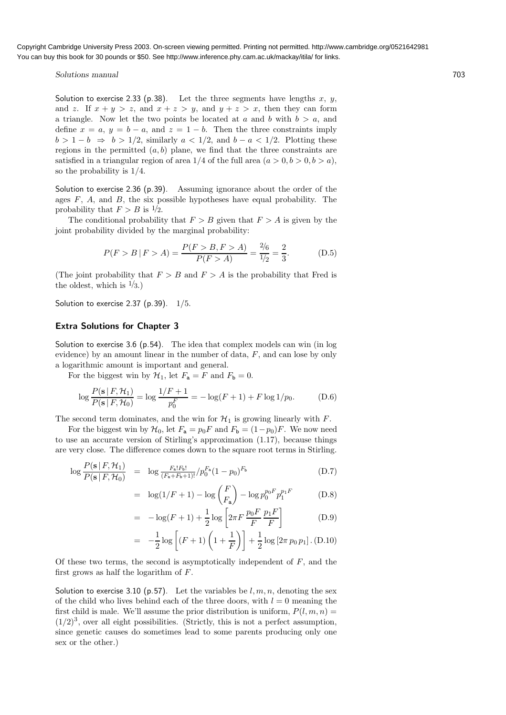Solutions manual 703

Solution to exercise 2.33 (p.38). Let the three segments have lengths x, y, and z. If  $x + y > z$ , and  $x + z > y$ , and  $y + z > x$ , then they can form a triangle. Now let the two points be located at a and b with  $b > a$ , and define  $x = a$ ,  $y = b - a$ , and  $z = 1 - b$ . Then the three constraints imply  $b > 1 - b \Rightarrow b > 1/2$ , similarly  $a < 1/2$ , and  $b - a < 1/2$ . Plotting these regions in the permitted  $(a, b)$  plane, we find that the three constraints are satisfied in a triangular region of area  $1/4$  of the full area  $(a > 0, b > 0, b > a)$ , so the probability is 1/4.

Solution to exercise 2.36 (p.39). Assuming ignorance about the order of the ages  $F$ ,  $A$ , and  $B$ , the six possible hypotheses have equal probability. The probability that  $F > B$  is  $\frac{1}{2}$ .

The conditional probability that  $F > B$  given that  $F > A$  is given by the joint probability divided by the marginal probability:

$$
P(F > B | F > A) = \frac{P(F > B, F > A)}{P(F > A)} = \frac{2/6}{1/2} = \frac{2}{3}.
$$
 (D.5)

(The joint probability that  $F > B$  and  $F > A$  is the probability that Fred is the oldest, which is  $\frac{1}{3}$ .

Solution to exercise  $2.37$  (p.39).  $1/5$ .

#### Extra Solutions for Chapter 3

Solution to exercise 3.6 (p.54). The idea that complex models can win (in log evidence) by an amount linear in the number of data,  $F$ , and can lose by only a logarithmic amount is important and general.

For the biggest win by  $\mathcal{H}_1$ , let  $F_a = F$  and  $F_b = 0$ .

$$
\log \frac{P(\mathbf{s} \mid F, \mathcal{H}_1)}{P(\mathbf{s} \mid F, \mathcal{H}_0)} = \log \frac{1/F + 1}{p_0^F} = -\log(F + 1) + F \log 1/p_0.
$$
 (D.6)

The second term dominates, and the win for  $\mathcal{H}_1$  is growing linearly with F.

For the biggest win by  $\mathcal{H}_0$ , let  $F_a = p_0 F$  and  $F_b = (1-p_0)F$ . We now need to use an accurate version of Stirling's approximation (1.17), because things are very close. The difference comes down to the square root terms in Stirling.

$$
\log \frac{P(\mathbf{s} \mid F, \mathcal{H}_1)}{P(\mathbf{s} \mid F, \mathcal{H}_0)} = \log \frac{F_a! F_b!}{(F_a + F_b + 1)!} / p_0^{F_a} (1 - p_0)^{F_b}
$$
(D.7)

$$
= \log(1/F + 1) - \log\binom{F}{F_a} - \log p_0^{p_0 F} p_1^{p_1 F} \tag{D.8}
$$

$$
= -\log(F+1) + \frac{1}{2}\log\left[2\pi F \frac{p_0 F}{F} \frac{p_1 F}{F}\right]
$$
(D.9)

$$
= -\frac{1}{2}\log \left[ (F+1)\left(1+\frac{1}{F}\right)\right] + \frac{1}{2}\log \left[2\pi p_0 p_1\right].\text{(D.10)}
$$

Of these two terms, the second is asymptotically independent of  $F$ , and the first grows as half the logarithm of  $F$ .

Solution to exercise 3.10 (p.57). Let the variables be  $l, m, n$ , denoting the sex of the child who lives behind each of the three doors, with  $l = 0$  meaning the first child is male. We'll assume the prior distribution is uniform,  $P(l, m, n) =$  $(1/2)^3$ , over all eight possibilities. (Strictly, this is not a perfect assumption, since genetic causes do sometimes lead to some parents producing only one sex or the other.)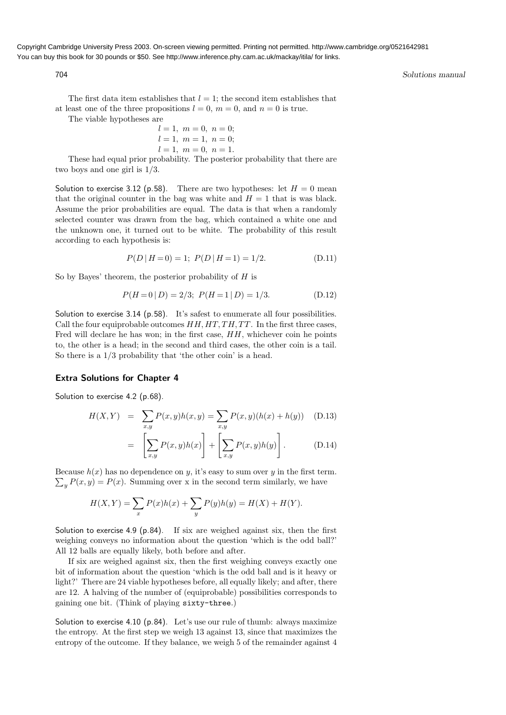# 704 Solutions manual

The first data item establishes that  $l = 1$ ; the second item establishes that at least one of the three propositions  $l = 0$ ,  $m = 0$ , and  $n = 0$  is true.

The viable hypotheses are

$$
l = 1, m = 0, n = 0;
$$
  
\n
$$
l = 1, m = 1, n = 0;
$$
  
\n
$$
l = 1, m = 0, n = 1.
$$

These had equal prior probability. The posterior probability that there are two boys and one girl is 1/3.

Solution to exercise 3.12 (p.58). There are two hypotheses: let  $H = 0$  mean that the original counter in the bag was white and  $H = 1$  that is was black. Assume the prior probabilities are equal. The data is that when a randomly selected counter was drawn from the bag, which contained a white one and the unknown one, it turned out to be white. The probability of this result according to each hypothesis is:

$$
P(D | H = 0) = 1; \ P(D | H = 1) = 1/2.
$$
 (D.11)

So by Bayes' theorem, the posterior probability of  $H$  is

$$
P(H = 0 | D) = 2/3; \ P(H = 1 | D) = 1/3.
$$
 (D.12)

Solution to exercise 3.14 (p.58). It's safest to enumerate all four possibilities. Call the four equiprobable outcomes  $HH, HT, TH, TT$ . In the first three cases, Fred will declare he has won; in the first case,  $HH$ , whichever coin he points to, the other is a head; in the second and third cases, the other coin is a tail. So there is a  $1/3$  probability that 'the other coin' is a head.

# Extra Solutions for Chapter 4

Solution to exercise 4.2 (p.68).

$$
H(X,Y) = \sum_{x,y} P(x,y)h(x,y) = \sum_{x,y} P(x,y)(h(x) + h(y))
$$
 (D.13)

$$
= \left[\sum_{x,y} P(x,y)h(x)\right] + \left[\sum_{x,y} P(x,y)h(y)\right]. \tag{D.14}
$$

 $\sum_{y} P(x, y) = P(x)$ . Summing over x in the second term similarly, we have Because  $h(x)$  has no dependence on y, it's easy to sum over y in the first term.

$$
H(X,Y) = \sum_{x} P(x)h(x) + \sum_{y} P(y)h(y) = H(X) + H(Y).
$$

Solution to exercise 4.9 (p.84). If six are weighed against six, then the first weighing conveys no information about the question 'which is the odd ball?' All 12 balls are equally likely, both before and after.

If six are weighed against six, then the first weighing conveys exactly one bit of information about the question 'which is the odd ball and is it heavy or light?' There are 24 viable hypotheses before, all equally likely; and after, there are 12. A halving of the number of (equiprobable) possibilities corresponds to gaining one bit. (Think of playing sixty-three.)

Solution to exercise 4.10 ( $p.84$ ). Let's use our rule of thumb: always maximize the entropy. At the first step we weigh 13 against 13, since that maximizes the entropy of the outcome. If they balance, we weigh 5 of the remainder against 4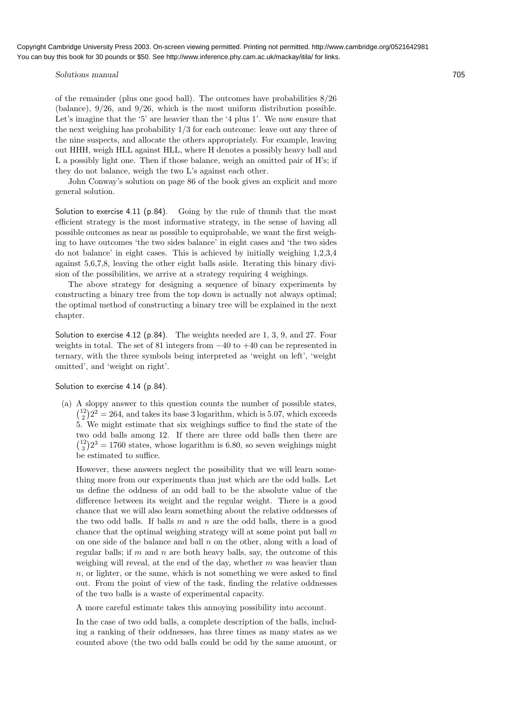Solutions manual 705

of the remainder (plus one good ball). The outcomes have probabilities 8/26 (balance), 9/26, and 9/26, which is the most uniform distribution possible. Let's imagine that the '5' are heavier than the '4 plus 1'. We now ensure that the next weighing has probability 1/3 for each outcome: leave out any three of the nine suspects, and allocate the others appropriately. For example, leaving out HHH, weigh HLL against HLL, where H denotes a possibly heavy ball and L a possibly light one. Then if those balance, weigh an omitted pair of H's; if they do not balance, weigh the two L's against each other.

John Conway's solution on page 86 of the book gives an explicit and more general solution.

Solution to exercise 4.11 ( $p.84$ ). Going by the rule of thumb that the most efficient strategy is the most informative strategy, in the sense of having all possible outcomes as near as possible to equiprobable, we want the first weighing to have outcomes 'the two sides balance' in eight cases and 'the two sides do not balance' in eight cases. This is achieved by initially weighing 1,2,3,4 against 5,6,7,8, leaving the other eight balls aside. Iterating this binary division of the possibilities, we arrive at a strategy requiring 4 weighings.

The above strategy for designing a sequence of binary experiments by constructing a binary tree from the top down is actually not always optimal; the optimal method of constructing a binary tree will be explained in the next chapter.

Solution to exercise 4.12 (p.84). The weights needed are 1, 3, 9, and 27. Four weights in total. The set of 81 integers from  $-40$  to  $+40$  can be represented in ternary, with the three symbols being interpreted as 'weight on left', 'weight omitted', and 'weight on right'.

Solution to exercise 4.14 (p.84).

(a) A sloppy answer to this question counts the number of possible states,  $\binom{12}{2}2^2 = 264$ , and takes its base 3 logarithm, which is 5.07, which exceeds 5. We might estimate that six weighings suffice to find the state of the two odd balls among 12. If there are three odd balls then there are  $\binom{12}{3}$  2<sup>3</sup> = 1760 states, whose logarithm is 6.80, so seven weighings might be estimated to suffice.

However, these answers neglect the possibility that we will learn something more from our experiments than just which are the odd balls. Let us define the oddness of an odd ball to be the absolute value of the difference between its weight and the regular weight. There is a good chance that we will also learn something about the relative oddnesses of the two odd balls. If balls  $m$  and  $n$  are the odd balls, there is a good chance that the optimal weighing strategy will at some point put ball  $m$ on one side of the balance and ball  $n$  on the other, along with a load of regular balls; if  $m$  and  $n$  are both heavy balls, say, the outcome of this weighing will reveal, at the end of the day, whether  $m$  was heavier than  $n$ , or lighter, or the same, which is not something we were asked to find out. From the point of view of the task, finding the relative oddnesses of the two balls is a waste of experimental capacity.

A more careful estimate takes this annoying possibility into account.

In the case of two odd balls, a complete description of the balls, including a ranking of their oddnesses, has three times as many states as we counted above (the two odd balls could be odd by the same amount, or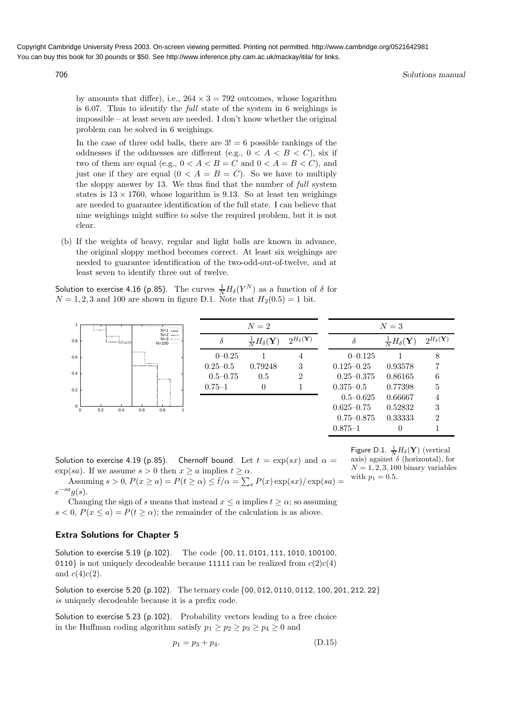#### 706 Solutions manual

by amounts that differ), i.e.,  $264 \times 3 = 792$  outcomes, whose logarithm is 6.07. Thus to identify the full state of the system in 6 weighings is impossible – at least seven are needed. I don't know whether the original problem can be solved in 6 weighings.

In the case of three odd balls, there are  $3! = 6$  possible rankings of the oddnesses if the oddnesses are different (e.g.,  $0 < A < B < C$ ), six if two of them are equal (e.g.,  $0 < A < B = C$  and  $0 < A = B < C$ ), and just one if they are equal  $(0 < A = B = C)$ . So we have to multiply the sloppy answer by 13. We thus find that the number of full system states is  $13 \times 1760$ , whose logarithm is 9.13. So at least ten weighings are needed to guarantee identification of the full state. I can believe that nine weighings might suffice to solve the required problem, but it is not clear.

(b) If the weights of heavy, regular and light balls are known in advance, the original sloppy method becomes correct. At least six weighings are needed to guarantee identification of the two-odd-out-of-twelve, and at least seven to identify three out of twelve.

Solution to exercise 4.16 (p.85). The curves  $\frac{1}{N}H_\delta(Y^N)$  as a function of  $\delta$  for  $N = 1, 2, 3$  and 100 are shown in figure D.1. Note that  $H_2(0.5) = 1$  bit.

| .                              |        | $N=1$ —              |              | $N=2$                             |                            |                | $N=3$                             |                            |
|--------------------------------|--------|----------------------|--------------|-----------------------------------|----------------------------|----------------|-----------------------------------|----------------------------|
| 0.8                            | .<br>. | $N=2$ -----<br>$N=3$ |              | $\frac{1}{N}H_\delta(\mathbf{Y})$ | $2^{H_\delta(\mathbf{Y})}$ |                | $\frac{1}{N}H_\delta(\mathbf{Y})$ | $2^{H_\delta(\mathbf{Y})}$ |
| 0.6                            |        | . ,                  | $0 - 0.25$   |                                   | 4                          | $0 - 0.125$    |                                   | 8                          |
|                                |        | .<br>.               | $0.25 - 0.5$ | 0.79248                           | 3                          | $0.125 - 0.25$ | 0.93578                           |                            |
| 0.4                            |        | .                    | $0.5 - 0.75$ | 0.5                               | 2                          | $0.25 - 0.375$ | 0.86165                           | 6                          |
| 0.2                            |        |                      | $0.75 - 1$   | $\theta$                          |                            | $0.375 - 0.5$  | 0.77398                           | 5                          |
|                                |        |                      |              |                                   |                            | $0.5 - 0.625$  | 0.66667                           |                            |
| $\Omega$<br>0.2<br>$\mathbf 0$ | 0.4    | 0.6<br>0.8           |              |                                   |                            | $0.625 - 0.75$ | 0.52832                           | 3                          |
|                                |        |                      |              |                                   |                            | $0.75 - 0.875$ | 0.33333                           | $\Omega$                   |
|                                |        |                      |              |                                   |                            | $0.875 - 1$    | 0                                 |                            |

Solution to exercise 4.19 (p.85). Chernoff bound. Let  $t = \exp(sx)$  and  $\alpha =$ exp(sa). If we assume  $s > 0$  then  $x \ge a$  implies  $t \ge \alpha$ .

Assuming  $s > 0$ ,  $P(x \ge a) = P(t \ge \alpha) \le \overline{t}/\alpha = \sum_{x} P(x) \exp(sx) / \exp(sa) =$  $e^{-sa}g(s)$ .

Changing the sign of s means that instead  $x \le a$  implies  $t \ge \alpha$ ; so assuming  $s < 0$ ,  $P(x \le a) = P(t \ge \alpha)$ ; the remainder of the calculation is as above.

#### Extra Solutions for Chapter 5

Solution to exercise 5.19 (p.102). The code {00, 11, 0101, 111, 1010, 100100, 0110} is not uniquely decodeable because 11111 can be realized from  $c(2)c(4)$ and  $c(4)c(2)$ .

Solution to exercise 5.20 (p.102). The ternary code {00, 012, 0110, 0112, 100, 201, 212, 22} is uniquely decodeable because it is a prefix code.

Solution to exercise 5.23 (p.102). Probability vectors leading to a free choice in the Huffman coding algorithm satisfy  $p_1 \geq p_2 \geq p_3 \geq p_4 \geq 0$  and

$$
p_1 = p_3 + p_4. \tag{D.15}
$$

Figure D.1.  $\frac{1}{N}H_\delta(\mathbf{Y})$  (vertical axis) against  $\delta$  (horizontal), for  $N = 1, 2, 3, 100$  binary variables with  $p_1 = 0.5$ .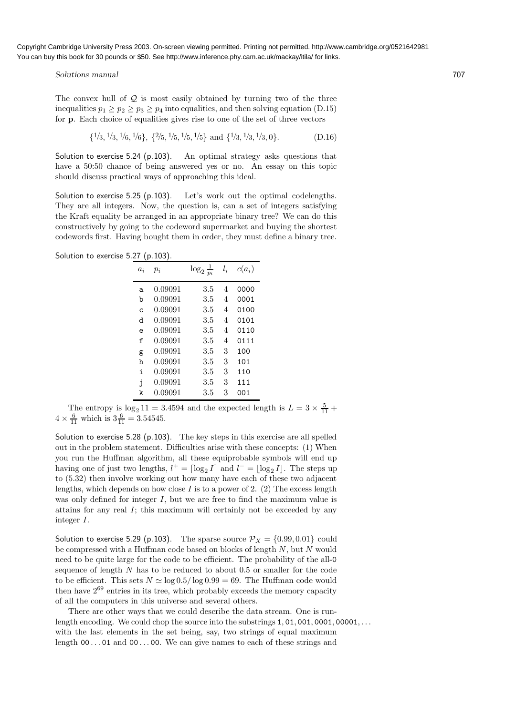Solutions manual 707

The convex hull of  $\mathcal Q$  is most easily obtained by turning two of the three inequalities  $p_1 \geq p_2 \geq p_3 \geq p_4$  into equalities, and then solving equation (D.15) for p. Each choice of equalities gives rise to one of the set of three vectors

$$
\{1/3, 1/3, 1/6, 1/6\}, \{2/5, 1/5, 1/5, 1/5\} \text{ and } \{1/3, 1/3, 1/3, 0\}. \tag{D.16}
$$

Solution to exercise 5.24 (p.103). An optimal strategy asks questions that have a 50:50 chance of being answered yes or no. An essay on this topic should discuss practical ways of approaching this ideal.

Solution to exercise 5.25 (p.103). Let's work out the optimal codelengths. They are all integers. Now, the question is, can a set of integers satisfying the Kraft equality be arranged in an appropriate binary tree? We can do this constructively by going to the codeword supermarket and buying the shortest codewords first. Having bought them in order, they must define a binary tree.

Solution to exercise 5.27 (p.103).

| w     |         |                  |                |          |
|-------|---------|------------------|----------------|----------|
| $a_i$ | $p_i$   | log <sub>2</sub> | $l_i$          | $c(a_i)$ |
| a     | 0.09091 | $3.5\,$          | 4              | 0000     |
| b     | 0.09091 | $3.5\,$          | 4              | 0001     |
| C     | 0.09091 | 3.5              | 4              | 0100     |
| d     | 0.09091 | 3.5              | 4              | 0101     |
| e     | 0.09091 | 3.5              | 4              | 0110     |
| f     | 0.09091 | 3.5              | $\overline{4}$ | 0111     |
| g     | 0.09091 | 3.5              | 3              | 100      |
| ħ     | 0.09091 | 3.5              | 3              | 101      |
| i     | 0.09091 | $3.5\,$          | 3              | 110      |
| j     | 0.09091 | 3.5              | 3              | 111      |
| k     | 0.09091 | $3.5\,$          | 3              | 001      |

The entropy is  $\log_2 11 = 3.4594$  and the expected length is  $L = 3 \times \frac{5}{11} +$  $4 \times \frac{6}{11}$  which is  $3\frac{6}{11} = 3.54545$ .

Solution to exercise 5.28 (p.103). The key steps in this exercise are all spelled out in the problem statement. Difficulties arise with these concepts: (1) When you run the Huffman algorithm, all these equiprobable symbols will end up having one of just two lengths,  $l^+ = \lceil \log_2 I \rceil$  and  $l^- = \lfloor \log_2 I \rfloor$ . The steps up to (5.32) then involve working out how many have each of these two adjacent lengths, which depends on how close  $I$  is to a power of 2. (2) The excess length was only defined for integer  $I$ , but we are free to find the maximum value is attains for any real  $I$ ; this maximum will certainly not be exceeded by any integer I.

Solution to exercise 5.29 (p.103). The sparse source  $\mathcal{P}_X = \{0.99, 0.01\}$  could be compressed with a Huffman code based on blocks of length  $N$ , but  $N$  would need to be quite large for the code to be efficient. The probability of the all-0 sequence of length  $N$  has to be reduced to about  $0.5$  or smaller for the code to be efficient. This sets  $N \simeq \log 0.5/\log 0.99 = 69$ . The Huffman code would then have 2 <sup>69</sup> entries in its tree, which probably exceeds the memory capacity of all the computers in this universe and several others.

There are other ways that we could describe the data stream. One is runlength encoding. We could chop the source into the substrings  $1,01,001,0001,00001,\ldots$ with the last elements in the set being, say, two strings of equal maximum length  $00 \ldots 01$  and  $00 \ldots 00$ . We can give names to each of these strings and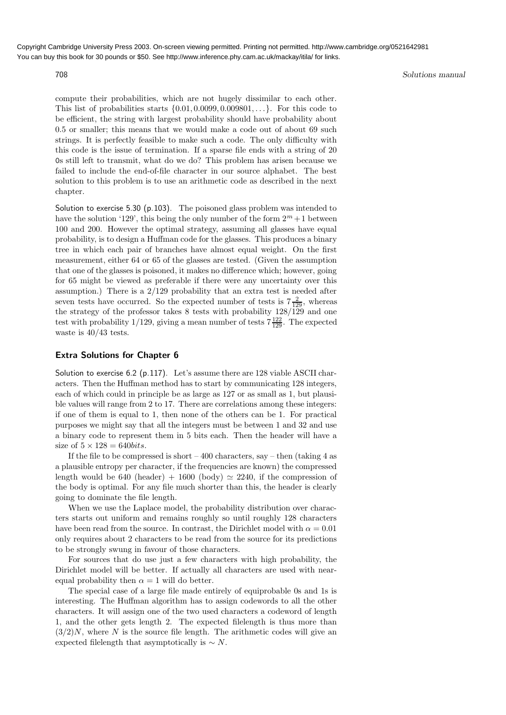#### 708 Solutions manual

compute their probabilities, which are not hugely dissimilar to each other. This list of probabilities starts  $\{0.01, 0.0099, 0.009801, \ldots\}$ . For this code to be efficient, the string with largest probability should have probability about 0.5 or smaller; this means that we would make a code out of about 69 such strings. It is perfectly feasible to make such a code. The only difficulty with this code is the issue of termination. If a sparse file ends with a string of 20 0s still left to transmit, what do we do? This problem has arisen because we failed to include the end-of-file character in our source alphabet. The best solution to this problem is to use an arithmetic code as described in the next chapter.

Solution to exercise 5.30 (p.103). The poisoned glass problem was intended to have the solution '129', this being the only number of the form  $2^m + 1$  between 100 and 200. However the optimal strategy, assuming all glasses have equal probability, is to design a Huffman code for the glasses. This produces a binary tree in which each pair of branches have almost equal weight. On the first measurement, either 64 or 65 of the glasses are tested. (Given the assumption that one of the glasses is poisoned, it makes no difference which; however, going for 65 might be viewed as preferable if there were any uncertainty over this assumption.) There is a 2/129 probability that an extra test is needed after seven tests have occurred. So the expected number of tests is  $7\frac{2}{129}$ , whereas the strategy of the professor takes 8 tests with probability 128/129 and one test with probability 1/129, giving a mean number of tests  $7\frac{122}{129}$ . The expected waste is 40/43 tests.

### Extra Solutions for Chapter 6

Solution to exercise 6.2 (p.117). Let's assume there are 128 viable ASCII characters. Then the Huffman method has to start by communicating 128 integers, each of which could in principle be as large as 127 or as small as 1, but plausible values will range from 2 to 17. There are correlations among these integers: if one of them is equal to 1, then none of the others can be 1. For practical purposes we might say that all the integers must be between 1 and 32 and use a binary code to represent them in 5 bits each. Then the header will have a size of  $5 \times 128 = 640 bits$ .

If the file to be compressed is short  $-400$  characters, say  $-$  then (taking 4 as a plausible entropy per character, if the frequencies are known) the compressed length would be 640 (header) + 1600 (body)  $\simeq$  2240, if the compression of the body is optimal. For any file much shorter than this, the header is clearly going to dominate the file length.

When we use the Laplace model, the probability distribution over characters starts out uniform and remains roughly so until roughly 128 characters have been read from the source. In contrast, the Dirichlet model with  $\alpha = 0.01$ only requires about 2 characters to be read from the source for its predictions to be strongly swung in favour of those characters.

For sources that do use just a few characters with high probability, the Dirichlet model will be better. If actually all characters are used with nearequal probability then  $\alpha = 1$  will do better.

The special case of a large file made entirely of equiprobable 0s and 1s is interesting. The Huffman algorithm has to assign codewords to all the other characters. It will assign one of the two used characters a codeword of length 1, and the other gets length 2. The expected filelength is thus more than  $(3/2)N$ , where N is the source file length. The arithmetic codes will give an expected filelength that asymptotically is  $\sim N$ .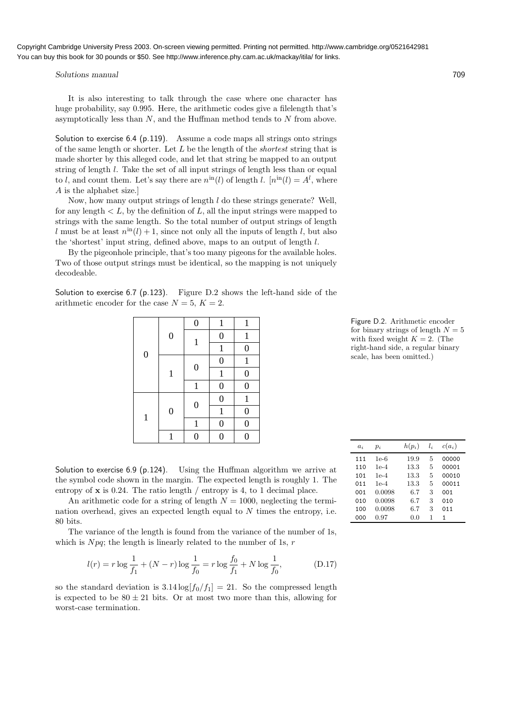Solutions manual 709

It is also interesting to talk through the case where one character has huge probability, say 0.995. Here, the arithmetic codes give a filelength that's asymptotically less than  $N$ , and the Huffman method tends to  $N$  from above.

Solution to exercise 6.4 (p.119). Assume a code maps all strings onto strings of the same length or shorter. Let  $L$  be the length of the *shortest* string that is made shorter by this alleged code, and let that string be mapped to an output string of length l. Take the set of all input strings of length less than or equal to l, and count them. Let's say there are  $n^{\text{in}}(l)$  of length l.  $[n^{\text{in}}(l) = A^l$ , where A is the alphabet size.]

Now, how many output strings of length l do these strings generate? Well, for any length  $\lt L$ , by the definition of L, all the input strings were mapped to strings with the same length. So the total number of output strings of length l must be at least  $n^{\text{in}}(l) + 1$ , since not only all the inputs of length l, but also the 'shortest' input string, defined above, maps to an output of length l.

By the pigeonhole principle, that's too many pigeons for the available holes. Two of those output strings must be identical, so the mapping is not uniquely decodeable.

Solution to exercise 6.7 (p.123). Figure D.2 shows the left-hand side of the arithmetic encoder for the case  $N = 5$ ,  $K = 2$ .

|                  |                  | $\boldsymbol{0}$ | 1                | 1                |
|------------------|------------------|------------------|------------------|------------------|
|                  | $\boldsymbol{0}$ |                  | $\overline{0}$   | 1                |
|                  |                  | 1                | $\mathbf{1}$     | $\boldsymbol{0}$ |
| $\boldsymbol{0}$ |                  | $\boldsymbol{0}$ | $\overline{0}$   | $\mathbf{1}$     |
|                  | 1                |                  | $\mathbf{1}$     | $\boldsymbol{0}$ |
|                  |                  | $\mathbf{1}$     | $\boldsymbol{0}$ | $\boldsymbol{0}$ |
|                  |                  |                  |                  | $\mathbf{1}$     |
| $\mathbf{1}$     | $\overline{0}$   | $\boldsymbol{0}$ | $\mathbf{1}$     | $\boldsymbol{0}$ |
|                  |                  | $\mathbf{1}$     | $\boldsymbol{0}$ | $\boldsymbol{0}$ |
|                  |                  | $\overline{0}$   | $\overline{0}$   | $\overline{0}$   |

Figure D.2. Arithmetic encoder for binary strings of length  $N = 5$ with fixed weight  $K = 2$ . (The right-hand side, a regular binary scale, has been omitted.)

| $a_i$ | $p_i$  | $h(p_i)$ | $l_i$ | $c(a_i)$ |
|-------|--------|----------|-------|----------|
| 111   | 1e-6   | 19.9     | 5     | 00000    |
| 110   | $1e-4$ | 13.3     | 5     | 00001    |
| 101   | $1e-4$ | 13.3     | 5     | 00010    |
| 011   | $1e-4$ | 13.3     | 5     | 00011    |
| 001   | 0.0098 | 6.7      | 3     | 001      |
| 010   | 0.0098 | 6.7      | 3     | 010      |
| 100   | 0.0098 | 6.7      | 3     | 011      |
| 000   | 0.97   | 0.0      | 1     | 1        |

Solution to exercise 6.9 (p.124). Using the Huffman algorithm we arrive at the symbol code shown in the margin. The expected length is roughly 1. The entropy of  $x$  is 0.24. The ratio length / entropy is 4, to 1 decimal place.

An arithmetic code for a string of length  $N = 1000$ , neglecting the termination overhead, gives an expected length equal to  $N$  times the entropy, i.e. 80 bits.

The variance of the length is found from the variance of the number of 1s, which is  $Npq$ ; the length is linearly related to the number of 1s,  $r$ 

$$
l(r) = r \log \frac{1}{f_1} + (N - r) \log \frac{1}{f_0} = r \log \frac{f_0}{f_1} + N \log \frac{1}{f_0},
$$
 (D.17)

so the standard deviation is  $3.14 \log[f_0/f_1] = 21$ . So the compressed length is expected to be  $80 \pm 21$  bits. Or at most two more than this, allowing for worst-case termination.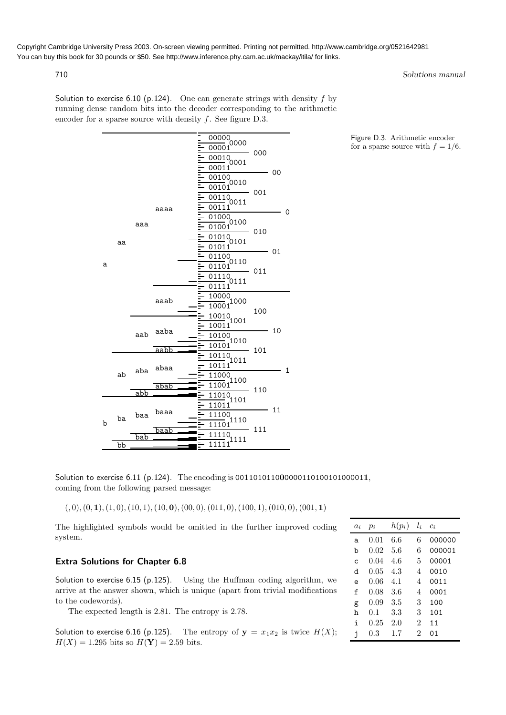710 Solutions manual

Solution to exercise 6.10 (p.124). One can generate strings with density  $f$  by running dense random bits into the decoder corresponding to the arithmetic encoder for a sparse source with density  $f$ . See figure D.3.



Figure D.3. Arithmetic encoder for a sparse source with  $f = 1/6$ .

Solution to exercise 6.11 (p.124). The encoding is 001101011000000110100101000011, coming from the following parsed message:

 $(0, 0), (0, 1), (1, 0), (10, 1), (10, 0), (00, 0), (011, 0), (100, 1), (010, 0), (001, 1)$ 

The highlighted symbols would be omitted in the further improved coding system.

# Extra Solutions for Chapter 6.8

Solution to exercise 6.15 (p.125). Using the Huffman coding algorithm, we arrive at the answer shown, which is unique (apart from trivial modifications to the codewords).

The expected length is 2.81. The entropy is 2.78.

Solution to exercise 6.16 (p.125). The entropy of  $y = x_1x_2$  is twice  $H(X)$ ;  $H(X) = 1.295$  bits so  $H(Y) = 2.59$  bits.

| $a_i$ | $p_i$ | $h(p_i)$ | $l_i$          | $c_i$  |
|-------|-------|----------|----------------|--------|
| a     | 0.01  | 6.6      | 6              | 000000 |
| b     | 0.02  | 5.6      | 6              | 000001 |
| C.    | 0.04  | 4.6      | 5              | 00001  |
| d     | 0.05  | 4.3      | 4              | 0010   |
| e     | 0.06  | 4.1      | 4              | 0011   |
| f     | 0.08  | 3.6      | 4              | 0001   |
| g     | 0.09  | 3.5      | 3              | 100    |
| ħ     | 0.1   | 3.3      | 3              | 101    |
| i     | 0.25  | 2.0      | $\overline{2}$ | 11     |
| i     | 0.3   | 1.7      | 2              | ሰ1     |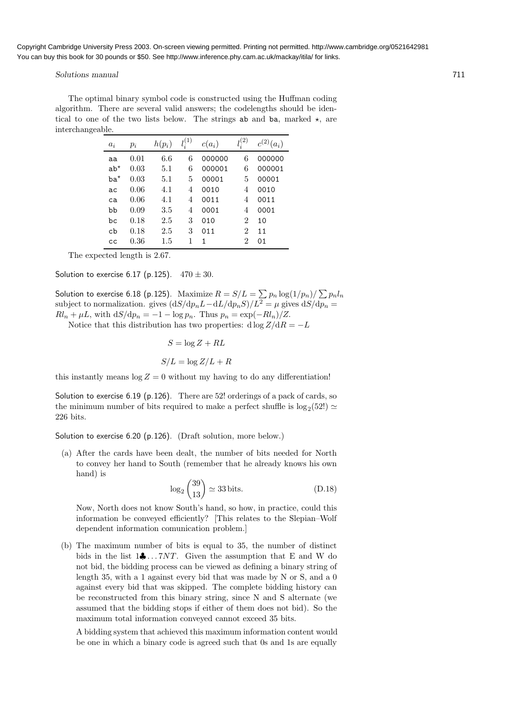#### Solutions manual 711

The optimal binary symbol code is constructed using the Huffman coding algorithm. There are several valid answers; the codelengths should be identical to one of the two lists below. The strings ab and ba, marked  $\star$ , are interchangeable.

| $a_i$                 | $p_i$ | $h(p_i)$ | $l_i^{(1)}$ | $c(a_i)$ | $l_i^{(2)}$    | $c^{(2)}(a_i)$ |
|-----------------------|-------|----------|-------------|----------|----------------|----------------|
| aa                    | 0.01  | 6.6      | 6           | 000000   | 6              | 000000         |
| $ab^*$                | 0.03  | 5.1      | 6           | 000001   | 6              | 000001         |
| $\mathsf{ba}^{\star}$ | 0.03  | 5.1      | 5           | 00001    | 5              | 00001          |
| ac                    | 0.06  | 4.1      | 4           | 0010     | 4              | 0010           |
| ca                    | 0.06  | 4.1      | 4           | 0011     | 4              | 0011           |
| bb                    | 0.09  | 3.5      | 4           | 0001     | 4              | 0001           |
| bc                    | 0.18  | 2.5      | 3           | 010      | 2              | 10             |
| cb                    | 0.18  | 2.5      | 3           | 011      | $\overline{2}$ | 11             |
| CC                    | 0.36  | $1.5\,$  |             | 1        | 2              | 01             |

The expected length is 2.67.

Solution to exercise 6.17 (p.125).  $470 \pm 30$ .

Solution to exercise 6.18 (p.125). Maximize  $R = S/L = \sum p_n \log(1/p_n) / \sum p_n l_n$ subject to normalization. gives  $\left(\frac{dS}{dp_nL}-\frac{dL}{dp_nS}\right)/L^2 = \mu$  gives  $\frac{dS}{dp_n} =$  $Rl_n + \mu L$ , with  $dS/dp_n = -1 - \log p_n$ . Thus  $p_n = \exp(-Rl_n)/Z$ .

Notice that this distribution has two properties: d log  $Z/dR = -L$ 

$$
S = \log Z + RL
$$

$$
S/L = \log Z/L + R
$$

this instantly means  $log Z = 0$  without my having to do any differentiation!

Solution to exercise 6.19 (p.126). There are 52! orderings of a pack of cards, so the minimum number of bits required to make a perfect shuffle is  $\log_2(52!) \simeq$ 226 bits.

Solution to exercise 6.20 (p.126). (Draft solution, more below.)

(a) After the cards have been dealt, the number of bits needed for North to convey her hand to South (remember that he already knows his own hand) is

$$
\log_2 \binom{39}{13} \simeq 33 \text{ bits.} \tag{D.18}
$$

Now, North does not know South's hand, so how, in practice, could this information be conveyed efficiently? [This relates to the Slepian–Wolf dependent information comunication problem.]

(b) The maximum number of bits is equal to 35, the number of distinct bids in the list  $1\clubsuit$ ...7NT. Given the assumption that E and W do not bid, the bidding process can be viewed as defining a binary string of length 35, with a 1 against every bid that was made by N or S, and a 0 against every bid that was skipped. The complete bidding history can be reconstructed from this binary string, since N and S alternate (we assumed that the bidding stops if either of them does not bid). So the maximum total information conveyed cannot exceed 35 bits.

A bidding system that achieved this maximum information content would be one in which a binary code is agreed such that 0s and 1s are equally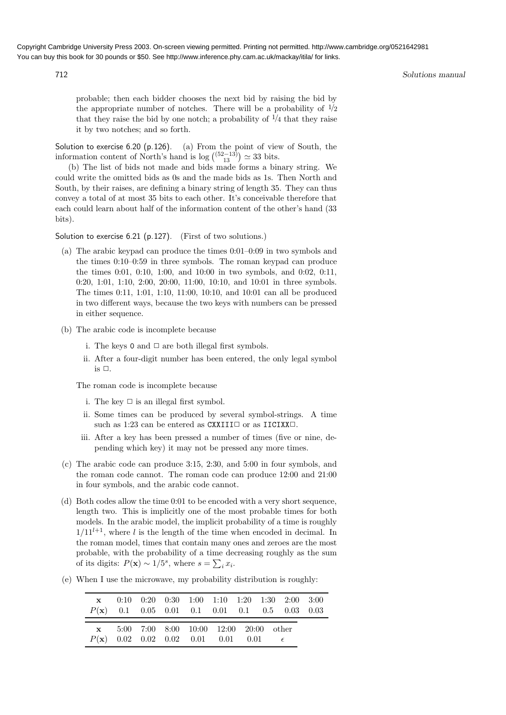#### 712 Solutions manual

probable; then each bidder chooses the next bid by raising the bid by the appropriate number of notches. There will be a probability of  $\frac{1}{2}$ that they raise the bid by one notch; a probability of  $\frac{1}{4}$  that they raise it by two notches; and so forth.

Solution to exercise 6.20 (p.126). (a) From the point of view of South, the information content of North's hand is log  $\binom{(52-13)}{13} \simeq 33$  bits.

(b) The list of bids not made and bids made forms a binary string. We could write the omitted bids as 0s and the made bids as 1s. Then North and South, by their raises, are defining a binary string of length 35. They can thus convey a total of at most 35 bits to each other. It's conceivable therefore that each could learn about half of the information content of the other's hand (33 bits).

Solution to exercise 6.21 (p.127). (First of two solutions.)

- (a) The arabic keypad can produce the times 0:01–0:09 in two symbols and the times 0:10–0:59 in three symbols. The roman keypad can produce the times 0:01, 0:10, 1:00, and 10:00 in two symbols, and 0:02, 0:11, 0:20, 1:01, 1:10, 2:00, 20:00, 11:00, 10:10, and 10:01 in three symbols. The times 0:11, 1:01, 1:10, 11:00, 10:10, and 10:01 can all be produced in two different ways, because the two keys with numbers can be pressed in either sequence.
- (b) The arabic code is incomplete because
	- i. The keys 0 and  $\Box$  are both illegal first symbols.
	- ii. After a four-digit number has been entered, the only legal symbol is  $\Box$ .

The roman code is incomplete because

- i. The key  $\Box$  is an illegal first symbol.
- ii. Some times can be produced by several symbol-strings. A time such as 1:23 can be entered as  $\text{CXXIII} \square$  or as IICIXX $\square$ .
- iii. After a key has been pressed a number of times (five or nine, depending which key) it may not be pressed any more times.
- (c) The arabic code can produce 3:15, 2:30, and 5:00 in four symbols, and the roman code cannot. The roman code can produce 12:00 and 21:00 in four symbols, and the arabic code cannot.
- (d) Both codes allow the time 0:01 to be encoded with a very short sequence, length two. This is implicitly one of the most probable times for both models. In the arabic model, the implicit probability of a time is roughly  $1/11^{l+1}$ , where l is the length of the time when encoded in decimal. In the roman model, times that contain many ones and zeroes are the most probable, with the probability of a time decreasing roughly as the sum of its digits:  $P(\mathbf{x}) \sim 1/5^s$ , where  $s = \sum_i x_i$ .
- (e) When I use the microwave, my probability distribution is roughly:

|  |  | $\mathbf{x} = 0.10 \quad 0.20 \quad 0.30 \quad 1.00 \quad 1.10 \quad 1.20 \quad 1.30 \quad 2.00 \quad 3.00$<br>$P(x)$ 0.1 0.05 0.01 0.1 0.01 0.1 0.5 0.03 0.03 |  |  |  |
|--|--|----------------------------------------------------------------------------------------------------------------------------------------------------------------|--|--|--|
|  |  | $\mathbf{x} = 5:00$ 7:00 8:00 10:00 12:00 20:00 other<br>$P(x)$ 0.02 0.02 0.02 0.01 0.01 0.01 $\epsilon$                                                       |  |  |  |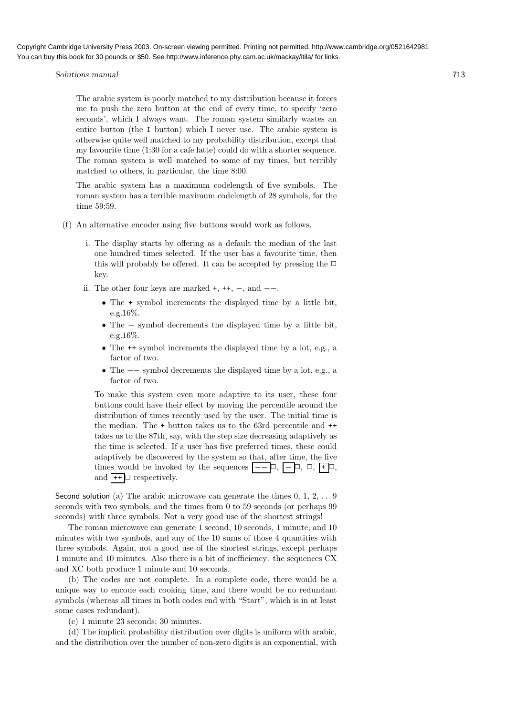Solutions manual 713

The arabic system is poorly matched to my distribution because it forces me to push the zero button at the end of every time, to specify 'zero seconds', which I always want. The roman system similarly wastes an entire button (the I button) which I never use. The arabic system is otherwise quite well matched to my probability distribution, except that my favourite time (1:30 for a cafe latte) could do with a shorter sequence. The roman system is well–matched to some of my times, but terribly matched to others, in particular, the time 8:00.

The arabic system has a maximum codelength of five symbols. The roman system has a terrible maximum codelength of 28 symbols, for the time 59:59.

- (f) An alternative encoder using five buttons would work as follows.
	- i. The display starts by offering as a default the median of the last one hundred times selected. If the user has a favourite time, then this will probably be offered. It can be accepted by pressing the  $\Box$ key.
	- ii. The other four keys are marked  $+, +, -$ , and  $-$ .
		- The + symbol increments the displayed time by a little bit, e.g.16%.
		- The − symbol decrements the displayed time by a little bit, e.g.16%.
		- The ++ symbol increments the displayed time by a lot, e.g., a factor of two.
		- The −− symbol decrements the displayed time by a lot, e.g., a factor of two.

To make this system even more adaptive to its user, these four buttons could have their effect by moving the percentile around the distribution of times recently used by the user. The initial time is the median. The + button takes us to the 63rd percentile and ++ takes us to the 87th, say, with the step size decreasing adaptively as the time is selected. If a user has five preferred times, these could adaptively be discovered by the system so that, after time, the five times would be invoked by the sequences  $\boxed{--} \Box, \boxed{-} \Box, \Box, \boxed{+} \Box,$ and  $\boxed{++}$  respectively.

Second solution (a) The arabic microwave can generate the times  $0, 1, 2, \ldots$  9 seconds with two symbols, and the times from 0 to 59 seconds (or perhaps 99 seconds) with three symbols. Not a very good use of the shortest strings!

The roman microwave can generate 1 second, 10 seconds, 1 minute, and 10 minutes with two symbols, and any of the 10 sums of those 4 quantities with three symbols. Again, not a good use of the shortest strings, except perhaps 1 minute and 10 minutes. Also there is a bit of inefficiency: the sequences CX and XC both produce 1 minute and 10 seconds.

(b) The codes are not complete. In a complete code, there would be a unique way to encode each cooking time, and there would be no redundant symbols (whereas all times in both codes end with "Start", which is in at least some cases redundant).

(c) 1 minute 23 seconds; 30 minutes.

(d) The implicit probability distribution over digits is uniform with arabic, and the distribution over the number of non-zero digits is an exponential, with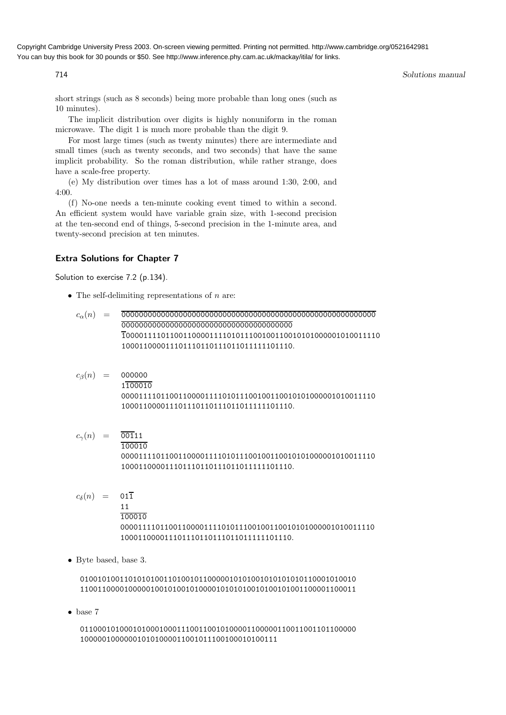714 Solutions manual

short strings (such as 8 seconds) being more probable than long ones (such as 10 minutes).

The implicit distribution over digits is highly nonuniform in the roman microwave. The digit 1 is much more probable than the digit 9.

For most large times (such as twenty minutes) there are intermediate and small times (such as twenty seconds, and two seconds) that have the same implicit probability. So the roman distribution, while rather strange, does have a scale-free property.

(e) My distribution over times has a lot of mass around 1:30, 2:00, and 4:00.

(f) No-one needs a ten-minute cooking event timed to within a second. An efficient system would have variable grain size, with 1-second precision at the ten-second end of things, 5-second precision in the 1-minute area, and twenty-second precision at ten minutes.

# Extra Solutions for Chapter 7

Solution to exercise 7.2 (p.134).

• The self-delimiting representations of  $n$  are:

| $c_{\alpha}(n) =$ |                                          |
|-------------------|------------------------------------------|
|                   |                                          |
|                   |                                          |
|                   | 100011000011101110110111011011111101110. |

cβ(n) = 000000 1100010 0000111101100110000111101011100100110010101000001010011110 100011000011101110110111011011111101110.

c<sup>γ</sup> (n) = 00111 100010 0000111101100110000111101011100100110010101000001010011110 100011000011101110110111011011111101110.

c<sup>δ</sup> (n) = 011 11 100010 0000111101100110000111101011100100110010101000001010011110 100011000011101110110111011011111101110.

• Byte based, base 3.

010010100110101010011010010110000010101001010101010110001010010 110011000010000010010100101000010101010010100101001100001100011

• base 7

011000101000101000100011100110010100001100000110011001101100000 100000100000010101000011001011100100010100111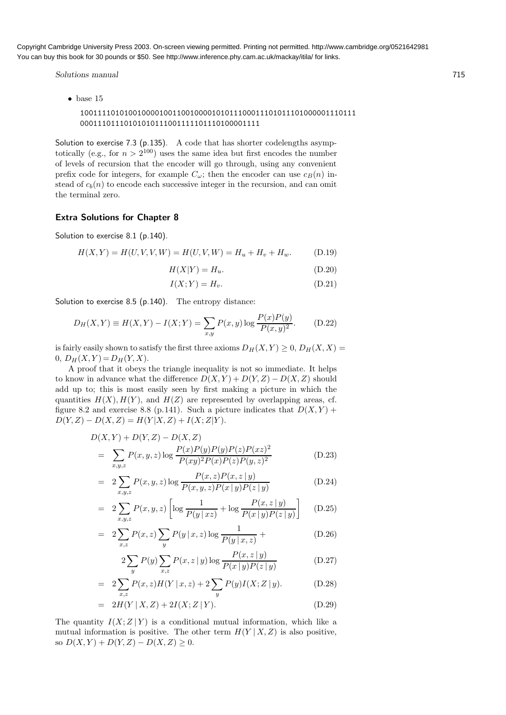Solutions manual 715

 $\bullet$  base 15

# 100111101010010000100110010000101011100011101011101000001110111 00011101110101010111001111101110100001111

Solution to exercise 7.3 (p.135). A code that has shorter codelengths asymptotically (e.g., for  $n > 2^{100}$ ) uses the same idea but first encodes the number of levels of recursion that the encoder will go through, using any convenient prefix code for integers, for example  $C_{\omega}$ ; then the encoder can use  $c_B(n)$  instead of  $c_b(n)$  to encode each successive integer in the recursion, and can omit the terminal zero.

### Extra Solutions for Chapter 8

Solution to exercise 8.1 (p.140).

$$
H(X,Y) = H(U,V,V,W) = H(U,V,W) = H_u + H_v + H_w.
$$
 (D.19)

$$
H(X|Y) = H_u.
$$
 (D.20)

$$
I(X;Y) = H_v.
$$
\n(D.21)

Solution to exercise 8.5 (p.140). The entropy distance:

$$
D_H(X, Y) \equiv H(X, Y) - I(X; Y) = \sum_{x, y} P(x, y) \log \frac{P(x)P(y)}{P(x, y)^2}.
$$
 (D.22)

is fairly easily shown to satisfy the first three axioms  $D_H(X, Y) \geq 0$ ,  $D_H(X, X) =$ 0,  $D_H(X, Y) = D_H(Y, X)$ .

A proof that it obeys the triangle inequality is not so immediate. It helps to know in advance what the difference  $D(X, Y) + D(Y, Z) - D(X, Z)$  should add up to; this is most easily seen by first making a picture in which the quantities  $H(X)$ ,  $H(Y)$ , and  $H(Z)$  are represented by overlapping areas, cf. figure 8.2 and exercise 8.8 (p.141). Such a picture indicates that  $D(X, Y)$  +  $D(Y, Z) - D(X, Z) = H(Y|X, Z) + I(X; Z|Y).$ 

$$
D(X, Y) + D(Y, Z) - D(X, Z)
$$
  
= 
$$
\sum_{x,y,z} P(x, y, z) \log \frac{P(x)P(y)P(y)P(z)P(xz)^{2}}{P(xy)^{2}P(x)P(z)P(y, z)^{2}}
$$
(D.23)

$$
= 2\sum_{x,y,z} P(x,y,z) \log \frac{P(x,z)P(x,z|y)}{P(x,y,z)P(x|y)P(z|y)}
$$
(D.24)

$$
= 2\sum_{x,y,z} P(x,y,z) \left[ \log \frac{1}{P(y \mid xz)} + \log \frac{P(x,z \mid y)}{P(x \mid y)P(z \mid y)} \right] \quad (D.25)
$$

$$
= 2\sum_{x,z} P(x,z) \sum_{y} P(y|x,z) \log \frac{1}{P(y|x,z)} +
$$
 (D.26)

$$
2\sum_{y} P(y) \sum_{x,z} P(x,z|y) \log \frac{P(x,z|y)}{P(x|y)P(z|y)}
$$
(D.27)

$$
= 2\sum_{x,z} P(x,z)H(Y|x,z) + 2\sum_{y} P(y)I(X;Z|y).
$$
 (D.28)

$$
= 2H(Y | X, Z) + 2I(X; Z | Y).
$$
 (D.29)

The quantity  $I(X;Z|Y)$  is a conditional mutual information, which like a mutual information is positive. The other term  $H(Y | X, Z)$  is also positive, so  $D(X, Y) + D(Y, Z) - D(X, Z) \geq 0$ .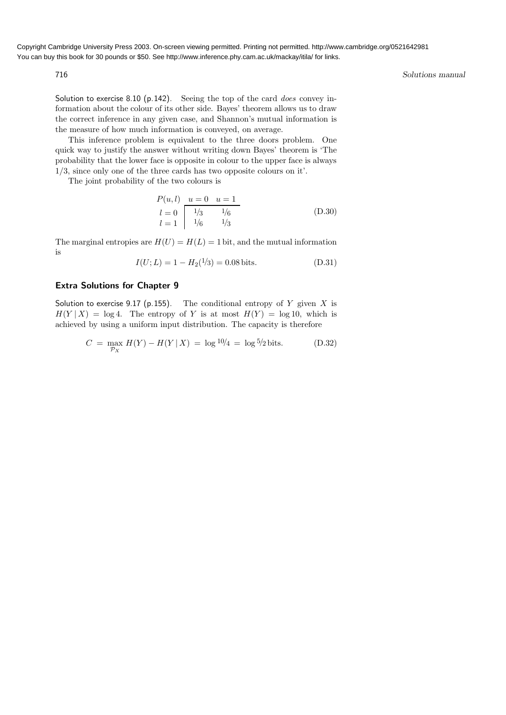716 Solutions manual

Solution to exercise 8.10 (p.142). Seeing the top of the card *does* convey information about the colour of its other side. Bayes' theorem allows us to draw the correct inference in any given case, and Shannon's mutual information is the measure of how much information is conveyed, on average.

This inference problem is equivalent to the three doors problem. One quick way to justify the answer without writing down Bayes' theorem is 'The probability that the lower face is opposite in colour to the upper face is always 1/3, since only one of the three cards has two opposite colours on it'.

The joint probability of the two colours is

$$
P(u, l) \t u = 0 \t u = 1
$$
  
\n
$$
l = 0 \t 1/3 \t 1/6
$$
  
\n
$$
l = 1 \t 1/6 \t 1/3
$$
  
\n(D.30)

The marginal entropies are  $H(U) = H(L) = 1$  bit, and the mutual information is

$$
I(U;L) = 1 - H_2(1/3) = 0.08 \text{ bits.}
$$
 (D.31)

### Extra Solutions for Chapter 9

Solution to exercise 9.17 (p.155). The conditional entropy of Y given X is  $H(Y | X) = \log 4$ . The entropy of Y is at most  $H(Y) = \log 10$ , which is achieved by using a uniform input distribution. The capacity is therefore

$$
C = \max_{\mathcal{P}_X} H(Y) - H(Y | X) = \log^{10/4} = \log^{5/2} \text{ bits.}
$$
 (D.32)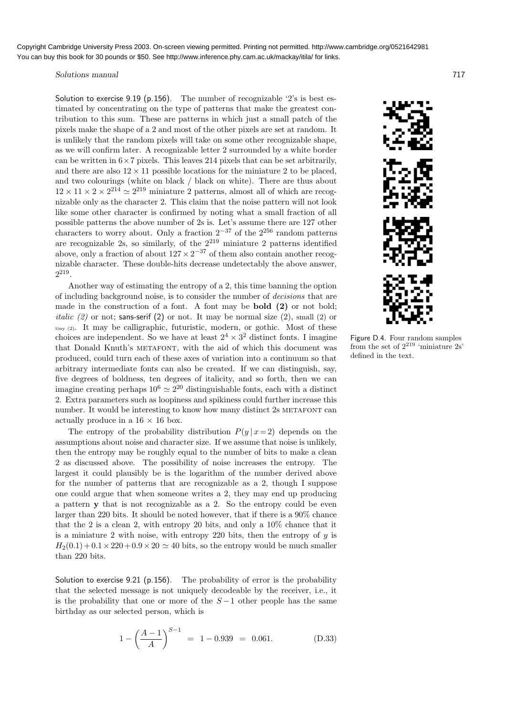#### Solutions manual 717

Solution to exercise 9.19 (p.156). The number of recognizable '2's is best estimated by concentrating on the type of patterns that make the greatest contribution to this sum. These are patterns in which just a small patch of the pixels make the shape of a 2 and most of the other pixels are set at random. It is unlikely that the random pixels will take on some other recognizable shape, as we will confirm later. A recognizable letter 2 surrounded by a white border can be written in  $6 \times 7$  pixels. This leaves 214 pixels that can be set arbitrarily, and there are also  $12 \times 11$  possible locations for the miniature 2 to be placed, and two colourings (white on black / black on white). There are thus about  $12 \times 11 \times 2 \times 2^{214} \simeq 2^{219}$  miniature 2 patterns, almost all of which are recognizable only as the character 2. This claim that the noise pattern will not look like some other character is confirmed by noting what a small fraction of all possible patterns the above number of 2s is. Let's assume there are 127 other characters to worry about. Only a fraction  $2^{-37}$  of the  $2^{256}$  random patterns are recognizable 2s, so similarly, of the 2 <sup>219</sup> miniature 2 patterns identified above, only a fraction of about  $127 \times 2^{-37}$  of them also contain another recognizable character. These double-hits decrease undetectably the above answer,  $2^{219}$ .

Another way of estimating the entropy of a 2, this time banning the option of including background noise, is to consider the number of decisions that are made in the construction of a font. A font may be bold (2) or not bold; *italic (2)* or not; sans-serif (2) or not. It may be normal size (2), small (2) or tiny (2). It may be calligraphic, futuristic, modern, or gothic. Most of these choices are independent. So we have at least  $2^4 \times 3^2$  distinct fonts. I imagine that Donald Knuth's METAFONT, with the aid of which this document was produced, could turn each of these axes of variation into a continuum so that arbitrary intermediate fonts can also be created. If we can distinguish, say, five degrees of boldness, ten degrees of italicity, and so forth, then we can imagine creating perhaps  $10^6 \simeq 2^{20}$  distinguishable fonts, each with a distinct 2. Extra parameters such as loopiness and spikiness could further increase this number. It would be interesting to know how many distinct 2s METAFONT can actually produce in a  $16 \times 16$  box.

The entropy of the probability distribution  $P(y | x=2)$  depends on the assumptions about noise and character size. If we assume that noise is unlikely, then the entropy may be roughly equal to the number of bits to make a clean 2 as discussed above. The possibility of noise increases the entropy. The largest it could plausibly be is the logarithm of the number derived above for the number of patterns that are recognizable as a 2, though I suppose one could argue that when someone writes a 2, they may end up producing a pattern y that is not recognizable as a 2. So the entropy could be even larger than 220 bits. It should be noted however, that if there is a 90% chance that the 2 is a clean 2, with entropy 20 bits, and only a 10% chance that it is a miniature 2 with noise, with entropy 220 bits, then the entropy of  $y$  is  $H_2(0.1)+0.1\times 220+0.9\times 20 \simeq 40$  bits, so the entropy would be much smaller than 220 bits.

Solution to exercise 9.21 (p.156). The probability of error is the probability that the selected message is not uniquely decodeable by the receiver, i.e., it is the probability that one or more of the  $S-1$  other people has the same birthday as our selected person, which is

$$
1 - \left(\frac{A-1}{A}\right)^{S-1} = 1 - 0.939 = 0.061.
$$
 (D.33)



Figure D.4. Four random samples from the set of  $2^{219}$  'miniature 2s' defined in the text.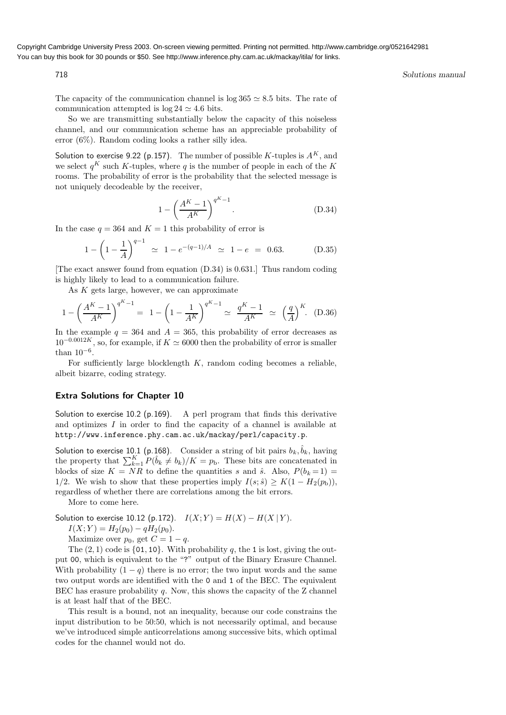718 Solutions manual

The capacity of the communication channel is  $\log 365 \simeq 8.5$  bits. The rate of communication attempted is  $log 24 \simeq 4.6$  bits.

So we are transmitting substantially below the capacity of this noiseless channel, and our communication scheme has an appreciable probability of error (6%). Random coding looks a rather silly idea.

Solution to exercise 9.22 (p.157). The number of possible K-tuples is  $A^K$ , and we select  $q^K$  such K-tuples, where q is the number of people in each of the K rooms. The probability of error is the probability that the selected message is not uniquely decodeable by the receiver,

$$
1 - \left(\frac{A^K - 1}{A^K}\right)^{q^K - 1}.
$$
 (D.34)

In the case  $q = 364$  and  $K = 1$  this probability of error is

$$
1 - \left(1 - \frac{1}{A}\right)^{q-1} \simeq 1 - e^{-(q-1)/A} \simeq 1 - e = 0.63. \tag{D.35}
$$

[The exact answer found from equation (D.34) is 0.631.] Thus random coding is highly likely to lead to a communication failure.

As K gets large, however, we can approximate

$$
1 - \left(\frac{A^{K} - 1}{A^{K}}\right)^{q^{K} - 1} = 1 - \left(1 - \frac{1}{A^{K}}\right)^{q^{K} - 1} \simeq \frac{q^{K} - 1}{A^{K}} \simeq \left(\frac{q}{A}\right)^{K}.
$$
 (D.36)

In the example  $q = 364$  and  $A = 365$ , this probability of error decreases as  $10^{-0.0012K}$ , so, for example, if  $K \simeq 6000$  then the probability of error is smaller than  $10^{-6}$ .

For sufficiently large blocklength  $K$ , random coding becomes a reliable, albeit bizarre, coding strategy.

### Extra Solutions for Chapter 10

Solution to exercise 10.2 (p.169). A perl program that finds this derivative and optimizes I in order to find the capacity of a channel is available at http://www.inference.phy.cam.ac.uk/mackay/perl/capacity.p.

Solution to exercise 10.1 (p.168). Consider a string of bit pairs  $b_k, \hat{b}_k,$  having the property that  $\sum_{k=1}^{K} P(\hat{b}_k \neq b_k) / K = p_b$ . These bits are concatenated in blocks of size  $K = NR$  to define the quantities s and  $\hat{s}$ . Also,  $P(b_k = 1)$ 1/2. We wish to show that these properties imply  $I(s; \hat{s}) \geq K(1 - H_2(p_b)),$ regardless of whether there are correlations among the bit errors.

More to come here.

Solution to exercise 10.12 (p.172).  $I(X; Y) = H(X) - H(X | Y)$ .

$$
I(X;Y) = H_2(p_0) - qH_2(p_0).
$$

Maximize over  $p_0$ , get  $C = 1 - q$ .

The  $(2, 1)$  code is  $\{01, 10\}$ . With probability q, the 1 is lost, giving the output 00, which is equivalent to the "?" output of the Binary Erasure Channel. With probability  $(1 - q)$  there is no error; the two input words and the same two output words are identified with the 0 and 1 of the BEC. The equivalent BEC has erasure probability  $q$ . Now, this shows the capacity of the  $Z$  channel is at least half that of the BEC.

This result is a bound, not an inequality, because our code constrains the input distribution to be 50:50, which is not necessarily optimal, and because we've introduced simple anticorrelations among successive bits, which optimal codes for the channel would not do.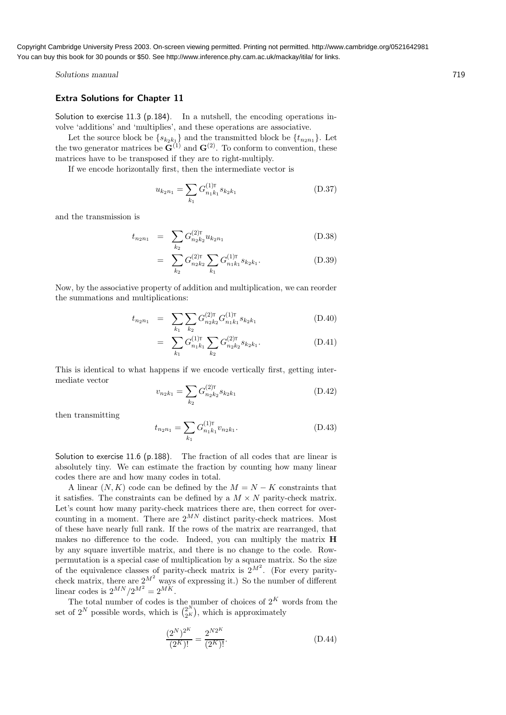Solutions manual 719

# Extra Solutions for Chapter 11

Solution to exercise 11.3 (p.184). In a nutshell, the encoding operations involve 'additions' and 'multiplies', and these operations are associative.

Let the source block be  $\{s_{k_2k_1}\}\$  and the transmitted block be  $\{t_{n_2n_1}\}\$ . Let the two generator matrices be  $\mathbf{G}^{(1)}$  and  $\mathbf{G}^{(2)}$ . To conform to convention, these matrices have to be transposed if they are to right-multiply.

If we encode horizontally first, then the intermediate vector is

$$
u_{k_2 n_1} = \sum_{k_1} G_{n_1 k_1}^{(1)\mathsf{T}} s_{k_2 k_1} \tag{D.37}
$$

and the transmission is

$$
t_{n_2n_1} = \sum_{k_2} G_{n_2k_2}^{(2)\text{T}} u_{k_2n_1}
$$
 (D.38)

$$
= \sum_{k_2} G_{n_2 k_2}^{(2)\dagger} \sum_{k_1} G_{n_1 k_1}^{(1)\dagger} s_{k_2 k_1}.
$$
 (D.39)

Now, by the associative property of addition and multiplication, we can reorder the summations and multiplications:

$$
t_{n_2n_1} = \sum_{k_1} \sum_{k_2} G_{n_2k_2}^{(2)\text{T}} G_{n_1k_1}^{(1)\text{T}} s_{k_2k_1}
$$
 (D.40)

$$
= \sum_{k_1} G_{n_1 k_1}^{(1)\dagger} \sum_{k_2} G_{n_2 k_2}^{(2)\dagger} s_{k_2 k_1}.
$$
 (D.41)

This is identical to what happens if we encode vertically first, getting intermediate vector

$$
v_{n_2k_1} = \sum_{k_2} G_{n_2k_2}^{(2)\mathsf{T}} s_{k_2k_1}
$$
 (D.42)

then transmitting

$$
t_{n_2n_1} = \sum_{k_1} G_{n_1k_1}^{(1)\dagger} v_{n_2k_1}.
$$
 (D.43)

Solution to exercise 11.6 (p.188). The fraction of all codes that are linear is absolutely tiny. We can estimate the fraction by counting how many linear codes there are and how many codes in total.

A linear  $(N, K)$  code can be defined by the  $M = N - K$  constraints that it satisfies. The constraints can be defined by a  $M \times N$  parity-check matrix. Let's count how many parity-check matrices there are, then correct for overcounting in a moment. There are  $2^{MN}$  distinct parity-check matrices. Most of these have nearly full rank. If the rows of the matrix are rearranged, that makes no difference to the code. Indeed, you can multiply the matrix H by any square invertible matrix, and there is no change to the code. Rowpermutation is a special case of multiplication by a square matrix. So the size of the equivalence classes of parity-check matrix is  $2^{M^2}$ . (For every paritycheck matrix, there are  $2^{M^2}$  ways of expressing it.) So the number of different linear codes is  $2^{MN}/2^{M^2} = 2^{MK}$ .

The total number of codes is the number of choices of  $2<sup>K</sup>$  words from the set of  $2^N$  possible words, which is  $\binom{2^N}{2^K}$  $\binom{2^N}{2^K}$ , which is approximately

$$
\frac{(2^N)^{2^K}}{(2^K)!} = \frac{2^{N2^K}}{(2^K)!}.
$$
\n(D.44)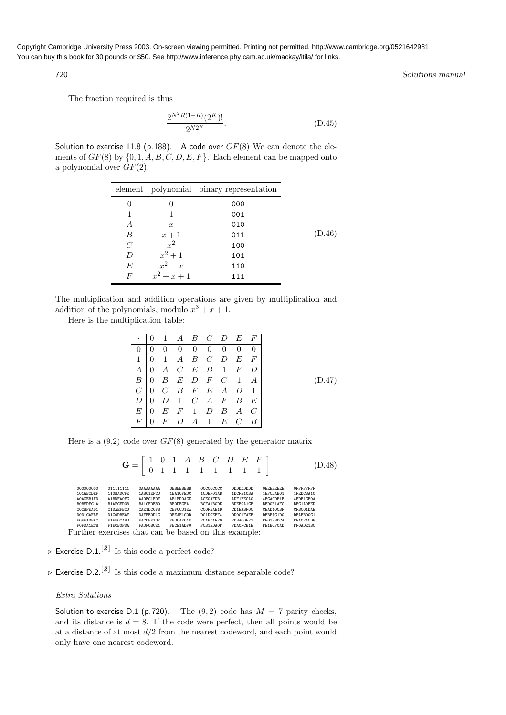720 Solutions manual

The fraction required is thus

$$
\frac{2^{N^2 R(1-R)} (2^K)!}{2^{N2^K}}.
$$
\n(D.45)

Solution to exercise 11.8 (p.188). A code over  $GF(8)$  We can denote the elements of  $GF(8)$  by  $\{0, 1, A, B, C, D, E, F\}$ . Each element can be mapped onto a polynomial over  $GF(2)$ .

|                  |                  | element polynomial binary representation |        |
|------------------|------------------|------------------------------------------|--------|
|                  |                  | 000                                      |        |
| 1                |                  | 001                                      |        |
| А                | $\boldsymbol{x}$ | 010                                      |        |
| B                | $x+1$            | 011                                      | (D.46) |
| $\overline{C}$   | $x^2$            | 100                                      |        |
| D                | $x^2+1$          | 101                                      |        |
| E                | $x^2+x$          | 110                                      |        |
| $\boldsymbol{F}$ | $x^2 + x + 1$    | 111                                      |        |

The multiplication and addition operations are given by multiplication and addition of the polynomials, modulo  $x^3 + x + 1$ .

Here is the multiplication table:

$$
\begin{array}{c|ccccccccc}\n\cdot & 0 & 1 & A & B & C & D & E & F \\
\hline\n0 & 0 & 0 & 0 & 0 & 0 & 0 & 0 & 0 \\
1 & 0 & 1 & A & B & C & D & E & F \\
A & 0 & A & C & E & B & 1 & F & D \\
B & 0 & B & E & D & F & C & 1 & A \\
C & 0 & C & B & F & E & A & D & 1 \\
D & 0 & D & 1 & C & A & F & B & E \\
E & 0 & E & F & 1 & D & B & A & C \\
F & 0 & F & D & A & 1 & E & C & B\n\end{array} \tag{D.47}
$$

Here is a  $(9,2)$  code over  $GF(8)$  generated by the generator matrix

$$
\mathbf{G} = \left[ \begin{array}{cccccc} 1 & 0 & 1 & A & B & C & D & E & F \\ 0 & 1 & 1 & 1 & 1 & 1 & 1 & 1 \end{array} \right] \tag{D.48}
$$

| 000000000  | 011111111 | <b>OAAAAAAAA</b> | OBBBBBBBB                                            | occcccccc | מממממממס   | <b>OEEEEEEEE</b> | OFFFFFFFFF |
|------------|-----------|------------------|------------------------------------------------------|-----------|------------|------------------|------------|
| 101ABCDEF  | 110BADCFE | 1ABO1EFCD        | 1BA10FEDC                                            | 1CDEF01AB | 1DCFE10BA  | 1 EFCDAB01       | 1FEDCBA10  |
| AOACEB1FD  | A1BDFA0EC | AAOEC1BDF        | AB1FDOACE                                            | ACEOAFDB1 | ADF1BECA0  | AECAODE1B        | AFDB1CEOA  |
| BOBEDFC1A  | B1AFCEDOB | BA1CFDEBO        | BBODECFA1                                            | BCFA1BODE | BDEBOA1CF  | BEDOB1AFC        | BFC1A0BED  |
| COCBFEAD1  | C1DAEFBCO | CAE1DCOFB        | CBFOCD1EA                                            | CCOFBAE1D | CD1EABFOC  | CEAD10CBF        | CFBC01DAE  |
| DOD1 CAFBE | D1CODBEAF | DAFBEOD1C        | DBEAF1COD                                            | DC1DOEBFA | DDOC1 FAEB | DEBFAC1DO        | DFAEBDOC1  |
| EOEF1DBAC  | E1FE0CABD | EACDBF10E        | EBDCAE01F                                            | ECABD1FE0 | EDBACOEF1  | EE01FBDCA        | EF10EACDB  |
| FOFDA1ECB  | F1ECBOFDA | FADFORCE1        | FBCE1ADFO                                            | FCB1EDAOF | FDAOFCB1E  | FE1BCF0AD        | FFOADE1BC  |
|            |           |                  | Further exercises that can be based on this example: |           |            |                  |            |

 $\triangleright$  Exercise D.1.<sup>[2]</sup> Is this code a perfect code?

 $\triangleright$  Exercise D.2.<sup>[2]</sup> Is this code a maximum distance separable code?

#### Extra Solutions

Solution to exercise D.1 (p.720). The  $(9, 2)$  code has  $M = 7$  parity checks, and its distance is  $d = 8$ . If the code were perfect, then all points would be at a distance of at most  $d/2$  from the nearest codeword, and each point would only have one nearest codeword.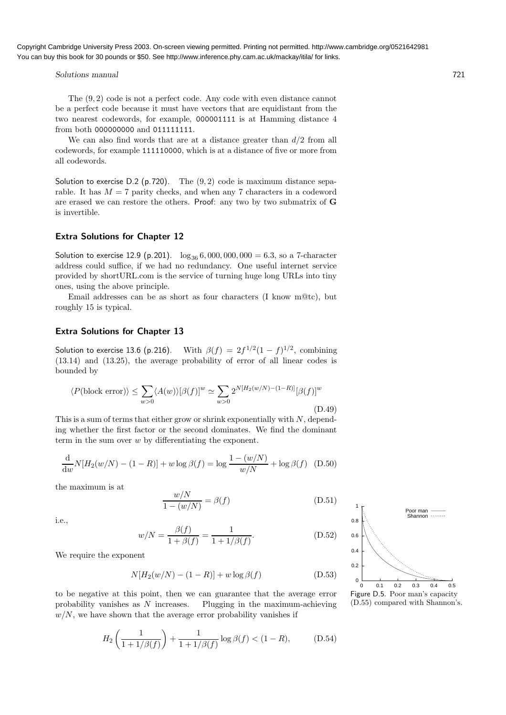Solutions manual 721

The (9, 2) code is not a perfect code. Any code with even distance cannot be a perfect code because it must have vectors that are equidistant from the two nearest codewords, for example, 000001111 is at Hamming distance 4 from both 000000000 and 011111111.

We can also find words that are at a distance greater than  $d/2$  from all codewords, for example 111110000, which is at a distance of five or more from all codewords.

Solution to exercise D.2 (p.720). The  $(9, 2)$  code is maximum distance separable. It has  $M = 7$  parity checks, and when any 7 characters in a codeword are erased we can restore the others. Proof: any two by two submatrix of G is invertible.

# Extra Solutions for Chapter 12

Solution to exercise 12.9 (p.201).  $\log_{36} 6{,}000{,}000{,}000 = 6.3$ , so a 7-character address could suffice, if we had no redundancy. One useful internet service provided by shortURL.com is the service of turning huge long URLs into tiny ones, using the above principle.

Email addresses can be as short as four characters (I know m@tc), but roughly 15 is typical.

# Extra Solutions for Chapter 13

Solution to exercise  $13.6$  (p. 216).  $1/2(1-f)^{1/2}$ , combining (13.14) and (13.25), the average probability of error of all linear codes is bounded by

$$
\langle P(\text{block error}) \rangle \le \sum_{w>0} \langle A(w) \rangle [\beta(f)]^w \simeq \sum_{w>0} 2^{N[H_2(w/N)-(1-R)]} [\beta(f)]^w
$$
\n(D.49)

This is a sum of terms that either grow or shrink exponentially with N, depending whether the first factor or the second dominates. We find the dominant term in the sum over w by differentiating the exponent.

$$
\frac{d}{dw}N[H_2(w/N) - (1 - R)] + w \log \beta(f) = \log \frac{1 - (w/N)}{w/N} + \log \beta(f)
$$
 (D.50)

the maximum is at

$$
\frac{w/N}{1 - (w/N)} = \beta(f) \tag{D.51}
$$

i.e.,

$$
w/N = \frac{\beta(f)}{1 + \beta(f)} = \frac{1}{1 + 1/\beta(f)}.
$$
 (D.52)

We require the exponent

$$
N[H_2(w/N) - (1 - R)] + w \log \beta(f)
$$
 (D.53)

to be negative at this point, then we can guarantee that the average error probability vanishes as N increases. Plugging in the maximum-achieving  $w/N$ , we have shown that the average error probability vanishes if

$$
H_2\left(\frac{1}{1+1/\beta(f)}\right) + \frac{1}{1+1/\beta(f)}\log\beta(f) < (1-R),\tag{D.54}
$$



(D.55) compared with Shannon's.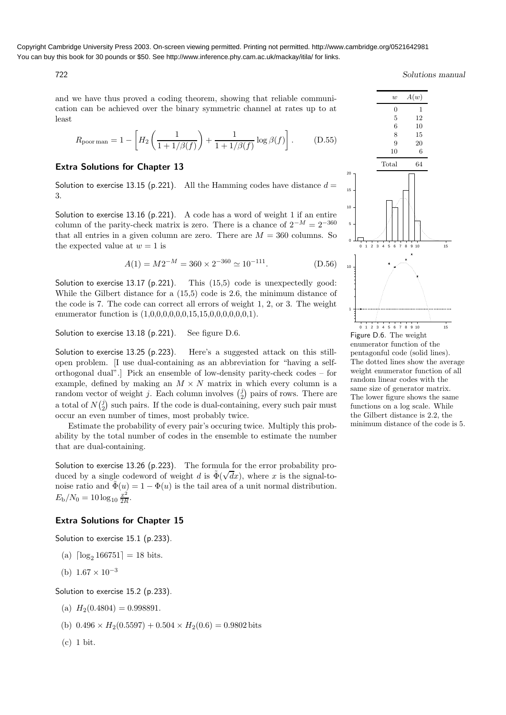722 Solutions manual

and we have thus proved a coding theorem, showing that reliable communication can be achieved over the binary symmetric channel at rates up to at least

$$
R_{\text{poor man}} = 1 - \left[ H_2 \left( \frac{1}{1 + 1/\beta(f)} \right) + \frac{1}{1 + 1/\beta(f)} \log \beta(f) \right].
$$
 (D.55)

# Extra Solutions for Chapter 13

Solution to exercise 13.15 (p.221). All the Hamming codes have distance  $d =$ 3.

Solution to exercise 13.16 (p.221). A code has a word of weight 1 if an entire column of the parity-check matrix is zero. There is a chance of  $2^{-M} = 2^{-360}$ that all entries in a given column are zero. There are  $M = 360$  columns. So the expected value at  $w = 1$  is

$$
A(1) = M2^{-M} = 360 \times 2^{-360} \simeq 10^{-111}.
$$
 (D.56)

Solution to exercise 13.17 (p. 221). This (15,5) code is unexpectedly good: While the Gilbert distance for a (15,5) code is 2.6, the minimum distance of the code is 7. The code can correct all errors of weight 1, 2, or 3. The weight enumerator function is  $(1,0,0,0,0,0,0,15,15,0,0,0,0,0,0,1)$ .

## Solution to exercise 13.18 (p.221). See figure D.6.

Solution to exercise 13.25 (p.223). Here's a suggested attack on this stillopen problem. [I use dual-containing as an abbreviation for "having a selforthogonal dual".] Pick an ensemble of low-density parity-check codes – for example, defined by making an  $M \times N$  matrix in which every column is a random vector of weight *j*. Each column involves  $\begin{pmatrix} j \\ 2 \end{pmatrix}$  pairs of rows. There are a total of  $N\binom{j}{2}$  such pairs. If the code is dual-containing, every such pair must occur an even number of times, most probably twice.

Estimate the probability of every pair's occuring twice. Multiply this probability by the total number of codes in the ensemble to estimate the number that are dual-containing.

Solution to exercise 13.26 (p.223). The formula for the error probability produced by a single codeword of weight d is  $\tilde{\Phi}(\sqrt{dx})$ , where x is the signal-tonoise ratio and  $\tilde{\Phi}(u) = 1 - \Phi(u)$  is the tail area of a unit normal distribution.  $E_{\rm b}/N_0 = 10 \log_{10} \frac{x^2}{2R}$  $\frac{x^2}{2R}$ .

# Extra Solutions for Chapter 15

Solution to exercise 15.1 (p.233).

- (a)  $\log_2 166751$  = 18 bits.
- (b)  $1.67 \times 10^{-3}$

Solution to exercise 15.2 (p. 233).

- (a)  $H_2(0.4804) = 0.998891$ .
- (b)  $0.496 \times H_2(0.5597) + 0.504 \times H_2(0.6) = 0.9802$  bits
- (c) 1 bit.



Figure D.6. The weight enumerator function of the pentagonful code (solid lines). The dotted lines show the average weight enumerator function of all random linear codes with the same size of generator matrix. The lower figure shows the same functions on a log scale. While the Gilbert distance is 2.2, the minimum distance of the code is 5.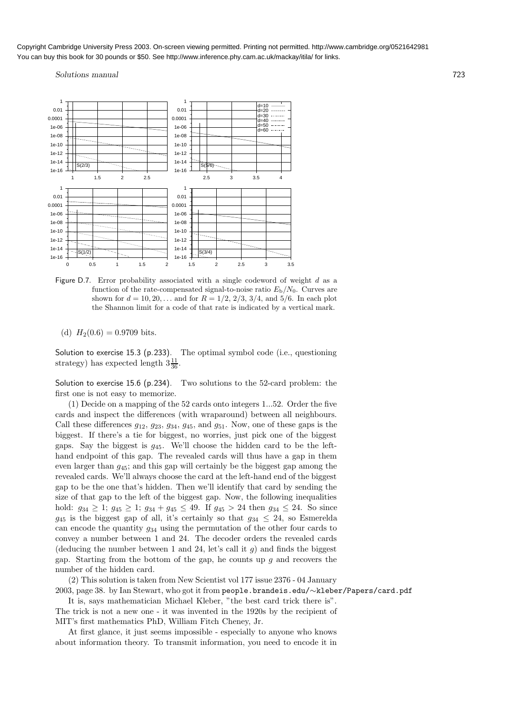#### Solutions manual 723



Figure D.7. Error probability associated with a single codeword of weight d as a function of the rate-compensated signal-to-noise ratio  $E_{\rm b}/N_0$ . Curves are shown for  $d = 10, 20, \ldots$  and for  $R = 1/2, 2/3, 3/4$ , and 5/6. In each plot the Shannon limit for a code of that rate is indicated by a vertical mark.

(d)  $H_2(0.6) = 0.9709$  bits.

Solution to exercise 15.3 (p.233). The optimal symbol code (i.e., questioning strategy) has expected length  $3\frac{11}{36}$ .

Solution to exercise 15.6 (p.234). Two solutions to the 52-card problem: the first one is not easy to memorize.

(1) Decide on a mapping of the 52 cards onto integers 1...52. Order the five cards and inspect the differences (with wraparound) between all neighbours. Call these differences  $g_{12}$ ,  $g_{23}$ ,  $g_{34}$ ,  $g_{45}$ , and  $g_{51}$ . Now, one of these gaps is the biggest. If there's a tie for biggest, no worries, just pick one of the biggest gaps. Say the biggest is  $g_{45}$ . We'll choose the hidden card to be the lefthand endpoint of this gap. The revealed cards will thus have a gap in them even larger than  $g_{45}$ ; and this gap will certainly be the biggest gap among the revealed cards. We'll always choose the card at the left-hand end of the biggest gap to be the one that's hidden. Then we'll identify that card by sending the size of that gap to the left of the biggest gap. Now, the following inequalities hold:  $g_{34} \geq 1$ ;  $g_{45} \geq 1$ ;  $g_{34} + g_{45} \leq 49$ . If  $g_{45} > 24$  then  $g_{34} \leq 24$ . So since  $g_{45}$  is the biggest gap of all, it's certainly so that  $g_{34} \leq 24$ , so Esmerelda can encode the quantity  $g_{34}$  using the permutation of the other four cards to convey a number between 1 and 24. The decoder orders the revealed cards (deducing the number between 1 and 24, let's call it  $g$ ) and finds the biggest gap. Starting from the bottom of the gap, he counts up  $q$  and recovers the number of the hidden card.

(2) This solution is taken from New Scientist vol 177 issue 2376 - 04 January 2003, page 38. by Ian Stewart, who got it from people.brandeis.edu/∼kleber/Papers/card.pdf It is, says mathematician Michael Kleber, "the best card trick there is".

The trick is not a new one - it was invented in the 1920s by the recipient of MIT's first mathematics PhD, William Fitch Cheney, Jr.

At first glance, it just seems impossible - especially to anyone who knows about information theory. To transmit information, you need to encode it in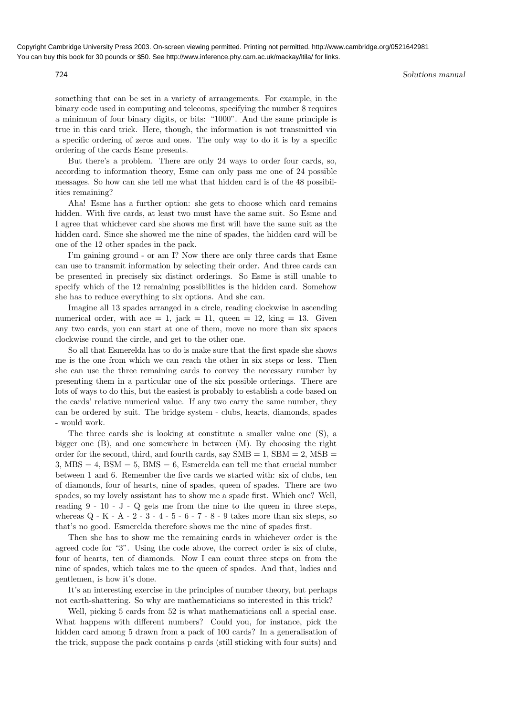724 Solutions manual

something that can be set in a variety of arrangements. For example, in the binary code used in computing and telecoms, specifying the number 8 requires a minimum of four binary digits, or bits: "1000". And the same principle is true in this card trick. Here, though, the information is not transmitted via a specific ordering of zeros and ones. The only way to do it is by a specific ordering of the cards Esme presents.

But there's a problem. There are only 24 ways to order four cards, so, according to information theory, Esme can only pass me one of 24 possible messages. So how can she tell me what that hidden card is of the 48 possibilities remaining?

Aha! Esme has a further option: she gets to choose which card remains hidden. With five cards, at least two must have the same suit. So Esme and I agree that whichever card she shows me first will have the same suit as the hidden card. Since she showed me the nine of spades, the hidden card will be one of the 12 other spades in the pack.

I'm gaining ground - or am I? Now there are only three cards that Esme can use to transmit information by selecting their order. And three cards can be presented in precisely six distinct orderings. So Esme is still unable to specify which of the 12 remaining possibilities is the hidden card. Somehow she has to reduce everything to six options. And she can.

Imagine all 13 spades arranged in a circle, reading clockwise in ascending numerical order, with ace  $= 1$ , jack  $= 11$ , queen  $= 12$ , king  $= 13$ . Given any two cards, you can start at one of them, move no more than six spaces clockwise round the circle, and get to the other one.

So all that Esmerelda has to do is make sure that the first spade she shows me is the one from which we can reach the other in six steps or less. Then she can use the three remaining cards to convey the necessary number by presenting them in a particular one of the six possible orderings. There are lots of ways to do this, but the easiest is probably to establish a code based on the cards' relative numerical value. If any two carry the same number, they can be ordered by suit. The bridge system - clubs, hearts, diamonds, spades - would work.

The three cards she is looking at constitute a smaller value one (S), a bigger one (B), and one somewhere in between (M). By choosing the right order for the second, third, and fourth cards, say  $SMB = 1$ ,  $SBM = 2$ ,  $MSB = 1$ 3, MBS = 4, BSM = 5, BMS = 6, Esmerelda can tell me that crucial number between 1 and 6. Remember the five cards we started with: six of clubs, ten of diamonds, four of hearts, nine of spades, queen of spades. There are two spades, so my lovely assistant has to show me a spade first. Which one? Well, reading 9 - 10 - J - Q gets me from the nine to the queen in three steps, whereas  $Q - K - A - 2 - 3 - 4 - 5 - 6 - 7 - 8 - 9$  takes more than six steps, so that's no good. Esmerelda therefore shows me the nine of spades first.

Then she has to show me the remaining cards in whichever order is the agreed code for "3". Using the code above, the correct order is six of clubs, four of hearts, ten of diamonds. Now I can count three steps on from the nine of spades, which takes me to the queen of spades. And that, ladies and gentlemen, is how it's done.

It's an interesting exercise in the principles of number theory, but perhaps not earth-shattering. So why are mathematicians so interested in this trick?

Well, picking 5 cards from 52 is what mathematicians call a special case. What happens with different numbers? Could you, for instance, pick the hidden card among 5 drawn from a pack of 100 cards? In a generalisation of the trick, suppose the pack contains p cards (still sticking with four suits) and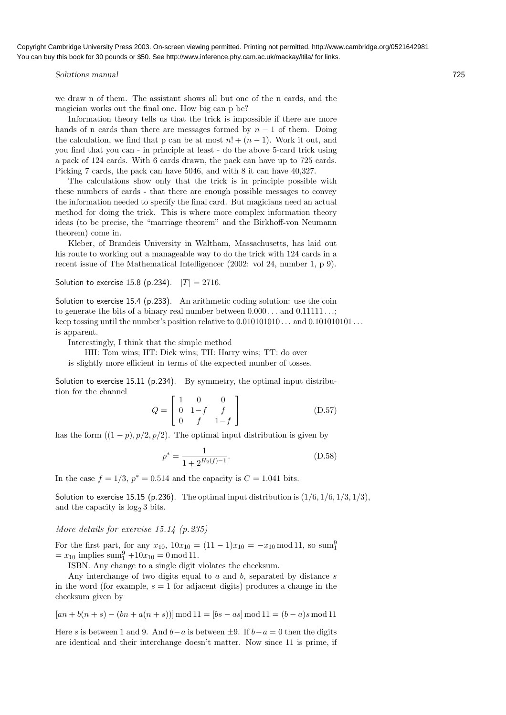Solutions manual 725

we draw n of them. The assistant shows all but one of the n cards, and the magician works out the final one. How big can p be?

Information theory tells us that the trick is impossible if there are more hands of n cards than there are messages formed by  $n-1$  of them. Doing the calculation, we find that p can be at most  $n! + (n-1)$ . Work it out, and you find that you can - in principle at least - do the above 5-card trick using a pack of 124 cards. With 6 cards drawn, the pack can have up to 725 cards. Picking 7 cards, the pack can have 5046, and with 8 it can have 40,327.

The calculations show only that the trick is in principle possible with these numbers of cards - that there are enough possible messages to convey the information needed to specify the final card. But magicians need an actual method for doing the trick. This is where more complex information theory ideas (to be precise, the "marriage theorem" and the Birkhoff-von Neumann theorem) come in.

Kleber, of Brandeis University in Waltham, Massachusetts, has laid out his route to working out a manageable way to do the trick with 124 cards in a recent issue of The Mathematical Intelligencer (2002: vol 24, number 1, p 9).

Solution to exercise 15.8 (p.234).  $|T| = 2716$ .

Solution to exercise 15.4 (p.233). An arithmetic coding solution: use the coin to generate the bits of a binary real number between  $0.000...$  and  $0.11111...$ ; keep tossing until the number's position relative to  $0.010101010...$  and  $0.101010101...$ is apparent.

Interestingly, I think that the simple method

HH: Tom wins; HT: Dick wins; TH: Harry wins; TT: do over

is slightly more efficient in terms of the expected number of tosses.

Solution to exercise 15.11 (p.234). By symmetry, the optimal input distribution for the channel

$$
Q = \begin{bmatrix} 1 & 0 & 0 \\ 0 & 1 - f & f \\ 0 & f & 1 - f \end{bmatrix}
$$
 (D.57)

has the form  $((1 - p), p/2, p/2)$ . The optimal input distribution is given by

$$
p^* = \frac{1}{1 + 2^{H_2(f) - 1}}.\tag{D.58}
$$

In the case  $f = 1/3$ ,  $p^* = 0.514$  and the capacity is  $C = 1.041$  bits.

Solution to exercise 15.15 (p.236). The optimal input distribution is  $(1/6, 1/6, 1/3, 1/3)$ , and the capacity is  $\log_2 3$  bits.

#### More details for exercise 15.14 (p.235)

For the first part, for any  $x_{10}$ ,  $10x_{10} = (11 - 1)x_{10} = -x_{10} \mod 11$ , so sum<sup>9</sup>  $= x_{10}$  implies sum $_1^9$  +10 $x_{10}$  = 0 mod 11.

ISBN. Any change to a single digit violates the checksum.

Any interchange of two digits equal to  $a$  and  $b$ , separated by distance  $s$ in the word (for example,  $s = 1$  for adjacent digits) produces a change in the checksum given by

 $[a_n + b(n+s) - (bn + a(n+s))] \mod 11 = [bs - as] \mod 11 = (b - a)s \mod 11$ 

Here s is between 1 and 9. And  $b-a$  is between  $\pm 9$ . If  $b-a=0$  then the digits are identical and their interchange doesn't matter. Now since 11 is prime, if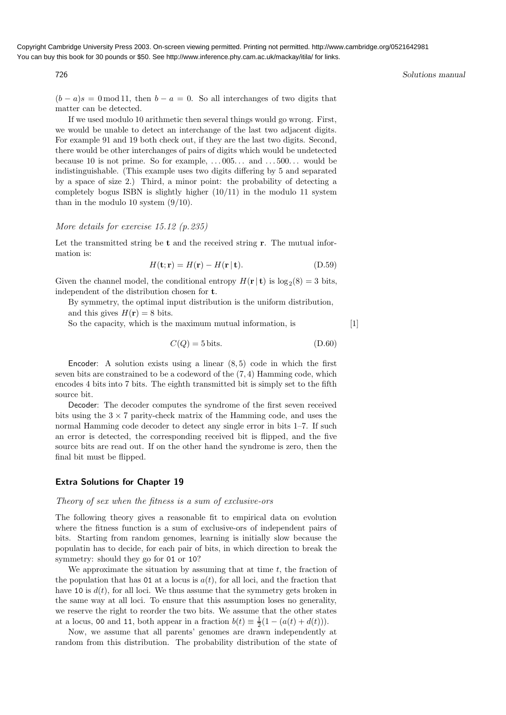# 726 Solutions manual

 $(b - a)s = 0 \mod 11$ , then  $b - a = 0$ . So all interchanges of two digits that matter can be detected.

If we used modulo 10 arithmetic then several things would go wrong. First, we would be unable to detect an interchange of the last two adjacent digits. For example 91 and 19 both check out, if they are the last two digits. Second, there would be other interchanges of pairs of digits which would be undetected because 10 is not prime. So for example,  $\dots$  005... and  $\dots$  500... would be indistinguishable. (This example uses two digits differing by 5 and separated by a space of size 2.) Third, a minor point: the probability of detecting a completely bogus ISBN is slightly higher  $(10/11)$  in the modulo 11 system than in the modulo 10 system  $(9/10)$ .

#### More details for exercise 15.12 (p.235)

Let the transmitted string be  $t$  and the received string  $r$ . The mutual information is:

$$
H(\mathbf{t}; \mathbf{r}) = H(\mathbf{r}) - H(\mathbf{r} \,|\, \mathbf{t}).\tag{D.59}
$$

Given the channel model, the conditional entropy  $H(\mathbf{r} \mid \mathbf{t})$  is  $\log_2(8) = 3$  bits, independent of the distribution chosen for t.

By symmetry, the optimal input distribution is the uniform distribution, and this gives  $H(\mathbf{r}) = 8$  bits.

So the capacity, which is the maximum mutual information, is [1]

$$
C(Q) = 5 \text{ bits.} \tag{D.60}
$$

Encoder: A solution exists using a linear  $(8, 5)$  code in which the first seven bits are constrained to be a codeword of the (7, 4) Hamming code, which encodes 4 bits into 7 bits. The eighth transmitted bit is simply set to the fifth source bit.

Decoder: The decoder computes the syndrome of the first seven received bits using the  $3 \times 7$  parity-check matrix of the Hamming code, and uses the normal Hamming code decoder to detect any single error in bits 1–7. If such an error is detected, the corresponding received bit is flipped, and the five source bits are read out. If on the other hand the syndrome is zero, then the final bit must be flipped.

#### Extra Solutions for Chapter 19

#### Theory of sex when the fitness is a sum of exclusive-ors

The following theory gives a reasonable fit to empirical data on evolution where the fitness function is a sum of exclusive-ors of independent pairs of bits. Starting from random genomes, learning is initially slow because the populatin has to decide, for each pair of bits, in which direction to break the symmetry: should they go for 01 or 10?

We approximate the situation by assuming that at time  $t$ , the fraction of the population that has 01 at a locus is  $a(t)$ , for all loci, and the fraction that have 10 is  $d(t)$ , for all loci. We thus assume that the symmetry gets broken in the same way at all loci. To ensure that this assumption loses no generality, we reserve the right to reorder the two bits. We assume that the other states at a locus, 00 and 11, both appear in a fraction  $b(t) \equiv \frac{1}{2}(1 - (a(t) + d(t)))$ .

Now, we assume that all parents' genomes are drawn independently at random from this distribution. The probability distribution of the state of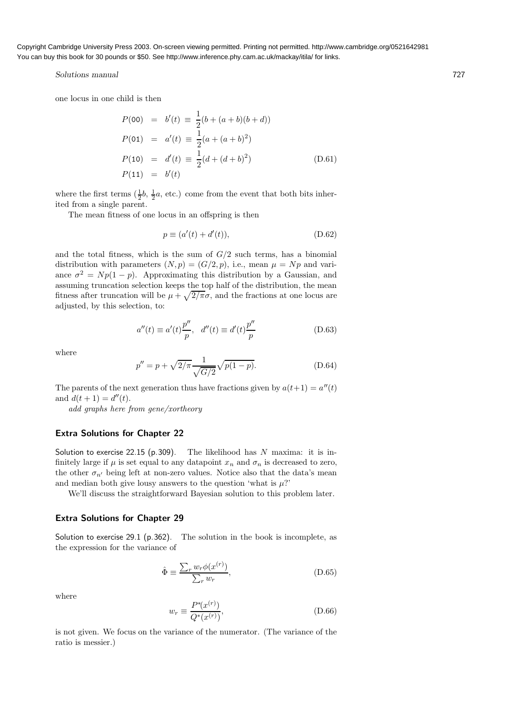Solutions manual 727

one locus in one child is then

$$
P(00) = b'(t) \equiv \frac{1}{2}(b + (a+b)(b+d))
$$
  
\n
$$
P(01) = a'(t) \equiv \frac{1}{2}(a + (a+b)^2)
$$
  
\n
$$
P(10) = d'(t) \equiv \frac{1}{2}(d + (d+b)^2)
$$
  
\n
$$
P(11) = b'(t)
$$
\n(D.61)

where the first terms  $(\frac{1}{2}b, \frac{1}{2}a, \text{ etc.})$  come from the event that both bits inherited from a single parent.

The mean fitness of one locus in an offspring is then

$$
p \equiv (a'(t) + d'(t)), \tag{D.62}
$$

and the total fitness, which is the sum of  $G/2$  such terms, has a binomial distribution with parameters  $(N, p) = (G/2, p)$ , i.e., mean  $\mu = Np$  and variance  $\sigma^2 = Np(1-p)$ . Approximating this distribution by a Gaussian, and assuming truncation selection keeps the top half of the distribution, the mean fitness after truncation will be  $\mu + \sqrt{2/\pi}\sigma$ , and the fractions at one locus are adjusted, by this selection, to:

$$
a''(t) \equiv a'(t)\frac{p''}{p}, \quad d''(t) \equiv d'(t)\frac{p''}{p}
$$
 (D.63)

where

$$
p'' = p + \sqrt{2/\pi} \frac{1}{\sqrt{G/2}} \sqrt{p(1-p)}.
$$
 (D.64)

The parents of the next generation thus have fractions given by  $a(t+1) = a''(t)$ and  $d(t + 1) = d''(t)$ .

add graphs here from gene/xortheory

#### Extra Solutions for Chapter 22

Solution to exercise 22.15 (p.309). The likelihood has  $N$  maxima: it is infinitely large if  $\mu$  is set equal to any datapoint  $x_n$  and  $\sigma_n$  is decreased to zero, the other  $\sigma_{n'}$  being left at non-zero values. Notice also that the data's mean and median both give lousy answers to the question 'what is  $\mu$ ?'

We'll discuss the straightforward Bayesian solution to this problem later.

### Extra Solutions for Chapter 29

Solution to exercise 29.1 (p.362). The solution in the book is incomplete, as the expression for the variance of

$$
\hat{\Phi} \equiv \frac{\sum_{r} w_r \phi(x^{(r)})}{\sum_{r} w_r},\tag{D.65}
$$

where

$$
w_r \equiv \frac{P^*(x^{(r)})}{Q^*(x^{(r)})},\tag{D.66}
$$

is not given. We focus on the variance of the numerator. (The variance of the ratio is messier.)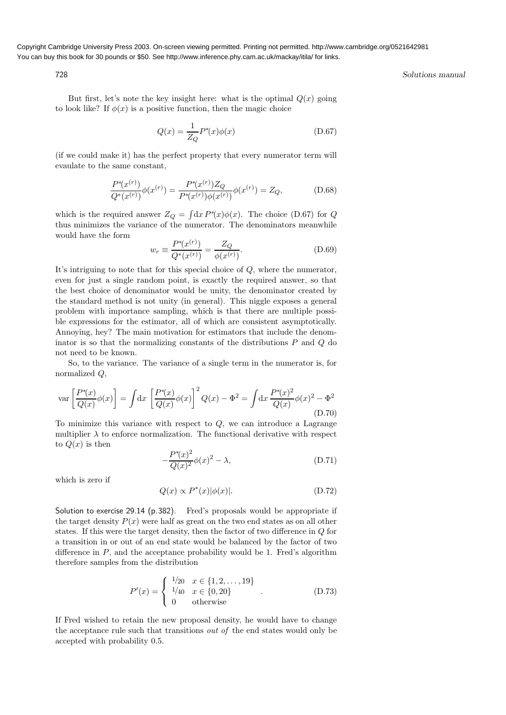728 Solutions manual

But first, let's note the key insight here: what is the optimal  $Q(x)$  going to look like? If  $\phi(x)$  is a positive function, then the magic choice

$$
Q(x) = \frac{1}{Z_Q} P^*(x) \phi(x)
$$
 (D.67)

(if we could make it) has the perfect property that every numerator term will evaulate to the same constant,

$$
\frac{P^*(x^{(r)})}{Q^*(x^{(r)})}\phi(x^{(r)}) = \frac{P^*(x^{(r)})Z_Q}{P^*(x^{(r)})\phi(x^{(r)})}\phi(x^{(r)}) = Z_Q,
$$
\n(D.68)

which is the required answer  $Z_Q = \int dx P^*(x) \phi(x)$ . The choice (D.67) for Q thus minimizes the variance of the numerator. The denominators meanwhile would have the form

$$
w_r \equiv \frac{P^*(x^{(r)})}{Q^*(x^{(r)})} = \frac{Z_Q}{\phi(x^{(r)})}.
$$
 (D.69)

It's intriguing to note that for this special choice of Q, where the numerator, even for just a single random point, is exactly the required answer, so that the best choice of denominator would be unity, the denominator created by the standard method is not unity (in general). This niggle exposes a general problem with importance sampling, which is that there are multiple possible expressions for the estimator, all of which are consistent asymptotically. Annoying, hey? The main motivation for estimators that include the denominator is so that the normalizing constants of the distributions  $P$  and  $Q$  do not need to be known.

So, to the variance. The variance of a single term in the numerator is, for normalized Q,

$$
\operatorname{var}\left[\frac{P^*(x)}{Q(x)}\phi(x)\right] = \int dx \left[\frac{P^*(x)}{Q(x)}\phi(x)\right]^2 Q(x) - \Phi^2 = \int dx \frac{P^*(x)^2}{Q(x)}\phi(x)^2 - \Phi^2
$$
\n(D.70)

To minimize this variance with respect to  $Q$ , we can introduce a Lagrange multiplier  $\lambda$  to enforce normalization. The functional derivative with respect to  $Q(x)$  is then

$$
-\frac{P^*(x)^2}{Q(x)^2}\phi(x)^2 - \lambda,
$$
\n(D.71)

which is zero if

$$
Q(x) \propto P^*(x)|\phi(x)|.\tag{D.72}
$$

Solution to exercise 29.14 (p.382). Fred's proposals would be appropriate if the target density  $P(x)$  were half as great on the two end states as on all other states. If this were the target density, then the factor of two difference in  $Q$  for a transition in or out of an end state would be balanced by the factor of two difference in  $P$ , and the acceptance probability would be 1. Fred's algorithm therefore samples from the distribution

$$
P'(x) = \begin{cases} 1/20 & x \in \{1, 2, ..., 19\} \\ 1/40 & x \in \{0, 20\} \\ 0 & \text{otherwise} \end{cases}
$$
 (D.73)

If Fred wished to retain the new proposal density, he would have to change the acceptance rule such that transitions out of the end states would only be accepted with probability 0.5.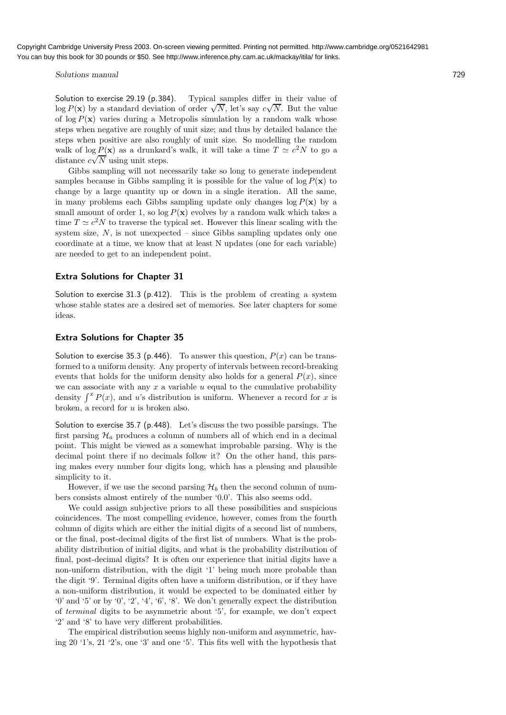Solutions manual 729

Solution to exercise 29.19 (p.384). Typical samples differ in their value of log  $P(\mathbf{x})$  by a standard deviation of order  $\sqrt{N}$ , let's say  $c\sqrt{N}$ . But the value of log  $P(x)$  varies during a Metropolis simulation by a random walk whose steps when negative are roughly of unit size; and thus by detailed balance the steps when positive are also roughly of unit size. So modelling the random walk of log  $P(\mathbf{x})$  as a drunkard's walk, it will take a time  $T \simeq c^2 N$  to go a distance  $c\sqrt{N}$  using unit steps.

Gibbs sampling will not necessarily take so long to generate independent samples because in Gibbs sampling it is possible for the value of  $\log P(\mathbf{x})$  to change by a large quantity up or down in a single iteration. All the same, in many problems each Gibbs sampling update only changes  $\log P(\mathbf{x})$  by a small amount of order 1, so  $\log P(x)$  evolves by a random walk which takes a time  $T \simeq c^2 N$  to traverse the typical set. However this linear scaling with the system size,  $N$ , is not unexpected – since Gibbs sampling updates only one coordinate at a time, we know that at least N updates (one for each variable) are needed to get to an independent point.

### Extra Solutions for Chapter 31

Solution to exercise 31.3 (p.412). This is the problem of creating a system whose stable states are a desired set of memories. See later chapters for some ideas.

#### Extra Solutions for Chapter 35

Solution to exercise 35.3 (p.446). To answer this question,  $P(x)$  can be transformed to a uniform density. Any property of intervals between record-breaking events that holds for the uniform density also holds for a general  $P(x)$ , since we can associate with any  $x$  a variable  $u$  equal to the cumulative probability density  $\int^x P(x)$ , and u's distribution is uniform. Whenever a record for x is broken, a record for u is broken also.

Solution to exercise 35.7 (p.448). Let's discuss the two possible parsings. The first parsing  $\mathcal{H}_a$  produces a column of numbers all of which end in a decimal point. This might be viewed as a somewhat improbable parsing. Why is the decimal point there if no decimals follow it? On the other hand, this parsing makes every number four digits long, which has a pleasing and plausible simplicity to it.

However, if we use the second parsing  $\mathcal{H}_b$  then the second column of numbers consists almost entirely of the number '0.0'. This also seems odd.

We could assign subjective priors to all these possibilities and suspicious coincidences. The most compelling evidence, however, comes from the fourth column of digits which are either the initial digits of a second list of numbers, or the final, post-decimal digits of the first list of numbers. What is the probability distribution of initial digits, and what is the probability distribution of final, post-decimal digits? It is often our experience that initial digits have a non-uniform distribution, with the digit '1' being much more probable than the digit '9'. Terminal digits often have a uniform distribution, or if they have a non-uniform distribution, it would be expected to be dominated either by '0' and '5' or by '0', '2', '4', '6', '8'. We don't generally expect the distribution of terminal digits to be asymmetric about '5', for example, we don't expect '2' and '8' to have very different probabilities.

The empirical distribution seems highly non-uniform and asymmetric, having 20 '1's, 21 '2's, one '3' and one '5'. This fits well with the hypothesis that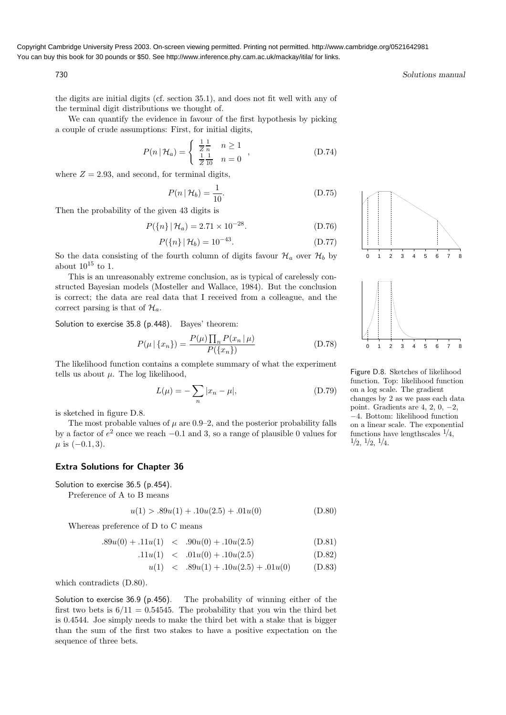the digits are initial digits (cf. section 35.1), and does not fit well with any of the terminal digit distributions we thought of.

We can quantify the evidence in favour of the first hypothesis by picking a couple of crude assumptions: First, for initial digits,

$$
P(n | \mathcal{H}_a) = \begin{cases} \frac{1}{Z} \frac{1}{n} & n \ge 1 \\ \frac{1}{Z} \frac{1}{10} & n = 0 \end{cases},
$$
 (D.74)

where  $Z = 2.93$ , and second, for terminal digits,

$$
P(n \mid \mathcal{H}_b) = \frac{1}{10}.\tag{D.75}
$$

Then the probability of the given 43 digits is

$$
P({n} | \mathcal{H}_a) = 2.71 \times 10^{-28}.
$$
 (D.76)

$$
P({n} | \mathcal{H}_b) = 10^{-43}.
$$
 (D.77)

So the data consisting of the fourth column of digits favour  $\mathcal{H}_a$  over  $\mathcal{H}_b$  by about  $10^{15}$  to 1.

This is an unreasonably extreme conclusion, as is typical of carelessly constructed Bayesian models (Mosteller and Wallace, 1984). But the conclusion is correct; the data are real data that I received from a colleague, and the correct parsing is that of  $\mathcal{H}_a$ .

Solution to exercise 35.8 (p.448). Bayes' theorem:

$$
P(\mu | \{x_n\}) = \frac{P(\mu) \prod_n P(x_n | \mu)}{P(\{x_n\})}
$$
\n(D.78)

The likelihood function contains a complete summary of what the experiment tells us about  $\mu$ . The log likelihood,

$$
L(\mu) = -\sum_{n} |x_n - \mu|,
$$
 (D.79)

is sketched in figure D.8.

The most probable values of  $\mu$  are 0.9–2, and the posterior probability falls by a factor of  $e^2$  once we reach  $-0.1$  and 3, so a range of plausible 0 values for  $\mu$  is  $(-0.1, 3)$ .

#### Extra Solutions for Chapter 36

Solution to exercise 36.5 (p.454).

Preference of A to B means

$$
u(1) > .89u(1) + .10u(2.5) + .01u(0)
$$
 (D.80)

Whereas preference of D to C means

$$
.89u(0) + .11u(1) < .90u(0) + .10u(2.5)
$$
 (D.81)

$$
.11u(1) < .01u(0) + .10u(2.5)
$$
 (D.82)

$$
u(1) < .89u(1) + .10u(2.5) + .01u(0) \tag{D.83}
$$

which contradicts (D.80).

Solution to exercise 36.9 (p.456). The probability of winning either of the first two bets is  $6/11 = 0.54545$ . The probability that you win the third bet is 0.4544. Joe simply needs to make the third bet with a stake that is bigger than the sum of the first two stakes to have a positive expectation on the sequence of three bets.



Figure D.8. Sketches of likelihood function. Top: likelihood function on a log scale. The gradient changes by 2 as we pass each data point. Gradients are  $4, 2, 0, -2$ , −4. Bottom: likelihood function on a linear scale. The exponential functions have lengthscales  $\frac{1}{4}$ ,  $\frac{1}{2}$ ,  $\frac{1}{2}$ ,  $\frac{1}{4}$ .

730 Solutions manual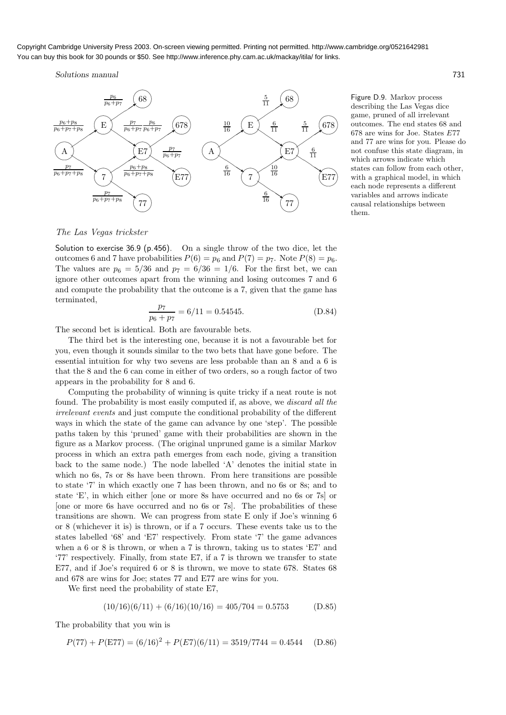Solutions manual 731



game, pruned of all irrelevant Figure D.9. Markov process describing the Las Vegas dice outcomes. The end states 68 and 678 are wins for Joe. States E77 and 77 are wins for you. Please do not confuse this state diagram, in which arrows indicate which states can follow from each other, with a graphical model, in which each node represents a different variables and arrows indicate causal relationships between them.

The Las Vegas trickster

Solution to exercise 36.9 (p.456). On a single throw of the two dice, let the outcomes 6 and 7 have probabilities  $P(6) = p_6$  and  $P(7) = p_7$ . Note  $P(8) = p_6$ . The values are  $p_6 = 5/36$  and  $p_7 = 6/36 = 1/6$ . For the first bet, we can ignore other outcomes apart from the winning and losing outcomes 7 and 6 and compute the probability that the outcome is a 7, given that the game has terminated,

$$
\frac{p_7}{p_6 + p_7} = 6/11 = 0.54545. \tag{D.84}
$$

The second bet is identical. Both are favourable bets.

The third bet is the interesting one, because it is not a favourable bet for you, even though it sounds similar to the two bets that have gone before. The essential intuition for why two sevens are less probable than an 8 and a 6 is that the 8 and the 6 can come in either of two orders, so a rough factor of two appears in the probability for 8 and 6.

Computing the probability of winning is quite tricky if a neat route is not found. The probability is most easily computed if, as above, we discard all the irrelevant events and just compute the conditional probability of the different ways in which the state of the game can advance by one 'step'. The possible paths taken by this 'pruned' game with their probabilities are shown in the figure as a Markov process. (The original unpruned game is a similar Markov process in which an extra path emerges from each node, giving a transition back to the same node.) The node labelled 'A' denotes the initial state in which no 6s, 7s or 8s have been thrown. From here transitions are possible to state '7' in which exactly one 7 has been thrown, and no 6s or 8s; and to state 'E', in which either [one or more 8s have occurred and no 6s or 7s] or [one or more 6s have occurred and no 6s or 7s]. The probabilities of these transitions are shown. We can progress from state E only if Joe's winning 6 or 8 (whichever it is) is thrown, or if a 7 occurs. These events take us to the states labelled '68' and 'E7' respectively. From state '7' the game advances when a 6 or 8 is thrown, or when a 7 is thrown, taking us to states 'E7' and '77' respectively. Finally, from state E7, if a 7 is thrown we transfer to state E77, and if Joe's required 6 or 8 is thrown, we move to state 678. States 68 and 678 are wins for Joe; states 77 and E77 are wins for you.

We first need the probability of state E7,

$$
(10/16)(6/11) + (6/16)(10/16) = 405/704 = 0.5753
$$
 (D.85)

The probability that you win is

$$
P(77) + P(E77) = (6/16)^2 + P(E7)(6/11) = 3519/7744 = 0.4544 \quad (D.86)
$$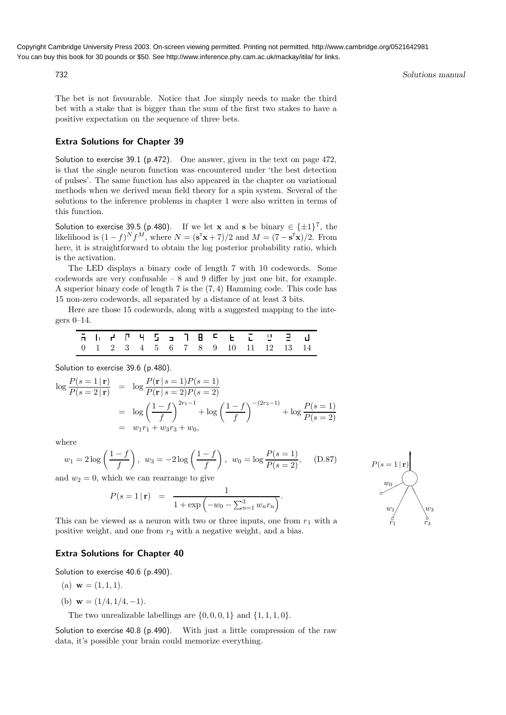732 Solutions manual

The bet is not favourable. Notice that Joe simply needs to make the third bet with a stake that is bigger than the sum of the first two stakes to have a positive expectation on the sequence of three bets.

# Extra Solutions for Chapter 39

Solution to exercise 39.1 (p.472). One answer, given in the text on page 472, is that the single neuron function was encountered under 'the best detection of pulses'. The same function has also appeared in the chapter on variational methods when we derived mean field theory for a spin system. Several of the solutions to the inference problems in chapter 1 were also written in terms of this function.

Solution to exercise 39.5 (p.480). If we let **x** and **s** be binary  $\in \{\pm 1\}^7$ , the likelihood is  $(1-f)^N f^M$ , where  $N = (\mathbf{s}^T \mathbf{x} + 7)/2$  and  $M = (7 - \mathbf{s}^T \mathbf{x})/2$ . From here, it is straightforward to obtain the log posterior probability ratio, which is the activation.

The LED displays a binary code of length 7 with 10 codewords. Some codewords are very confusable  $-8$  and 9 differ by just one bit, for example. A superior binary code of length 7 is the (7, 4) Hamming code. This code has 15 non-zero codewords, all separated by a distance of at least 3 bits.

Here are those 15 codewords, along with a suggested mapping to the integers 0–14.

|  |  |  |  |  |  | <b>AN P P P S S D B F E C P P U</b> |  |
|--|--|--|--|--|--|-------------------------------------|--|
|  |  |  |  |  |  | 0 1 2 3 4 5 6 7 8 9 10 11 12 13 14  |  |

Solution to exercise 39.6 (p.480).

$$
\log \frac{P(s=1|\mathbf{r})}{P(s=2|\mathbf{r})} = \log \frac{P(\mathbf{r}|s=1)P(s=1)}{P(\mathbf{r}|s=2)P(s=2)}
$$
  
= 
$$
\log \left(\frac{1-f}{f}\right)^{2r_1-1} + \log \left(\frac{1-f}{f}\right)^{-(2r_3-1)} + \log \frac{P(s=1)}{P(s=2)}
$$
  
= 
$$
w_1r_1 + w_3r_3 + w_0,
$$

where

$$
w_1 = 2 \log \left( \frac{1 - f}{f} \right), \ w_3 = -2 \log \left( \frac{1 - f}{f} \right), \ w_0 = \log \frac{P(s = 1)}{P(s = 2)}, \quad (D.87)
$$

and  $w_2 = 0$ , which we can rearrange to give

$$
P(s = 1 | \mathbf{r}) = \frac{1}{1 + \exp(-w_0 - \sum_{n=1}^{3} w_n r_n)}.
$$

This can be viewed as a neuron with two or three inputs, one from  $r_1$  with a positive weight, and one from  $r_3$  with a negative weight, and a bias.

# Extra Solutions for Chapter 40

Solution to exercise 40.6 (p.490).

- (a)  $\mathbf{w} = (1, 1, 1).$
- (b)  $\mathbf{w} = (1/4, 1/4, -1).$

The two unrealizable labellings are  $\{0, 0, 0, 1\}$  and  $\{1, 1, 1, 0\}$ .

Solution to exercise 40.8 (p.490). With just a little compression of the raw data, it's possible your brain could memorize everything.

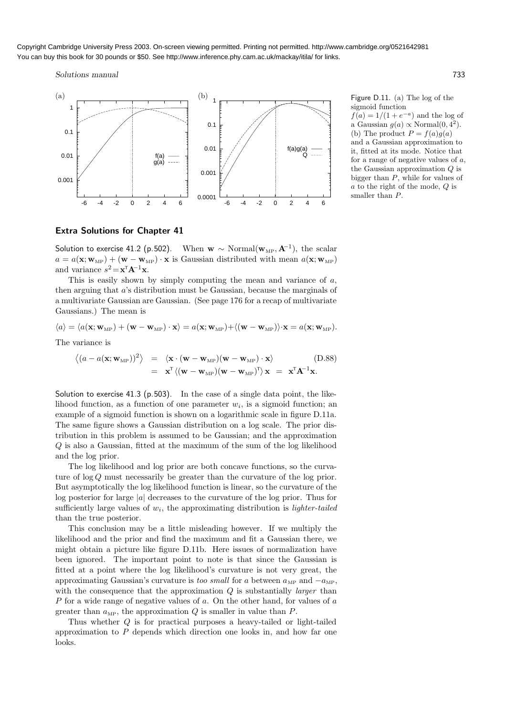Solutions manual 733



Figure D.11. (a) The log of the sigmoid function

 $f(a) = 1/(1 + e^{-a})$  and the log of a Gaussian  $g(a) \propto \text{Normal}(0, 4^2)$ . (b) The product  $P = f(a)q(a)$ and a Gaussian approximation to it, fitted at its mode. Notice that for a range of negative values of  $a$ , the Gaussian approximation Q is bigger than  $P$ , while for values of a to the right of the mode, Q is smaller than P.

#### Extra Solutions for Chapter 41

Solution to exercise 41.2 (p.502). When  $\mathbf{w} \sim \textrm{Normal}(\mathbf{w}_{\textrm{{MP}}}, \mathbf{A}^{-1})$ , the scalar  $a = a(\mathbf{x}; \mathbf{w}_{MP}) + (\mathbf{w} - \mathbf{w}_{MP}) \cdot \mathbf{x}$  is Gaussian distributed with mean  $a(\mathbf{x}; \mathbf{w}_{MP})$ and variance  $s^2 = \mathbf{x}^\mathsf{T} \mathbf{A}^{-1} \mathbf{x}$ .

This is easily shown by simply computing the mean and variance of a, then arguing that a's distribution must be Gaussian, because the marginals of a multivariate Gaussian are Gaussian. (See page 176 for a recap of multivariate Gaussians.) The mean is

$$
\langle a \rangle = \langle a(\mathbf{x}; \mathbf{w}_{\text{MP}}) + (\mathbf{w} - \mathbf{w}_{\text{MP}}) \cdot \mathbf{x} \rangle = a(\mathbf{x}; \mathbf{w}_{\text{MP}}) + \langle (\mathbf{w} - \mathbf{w}_{\text{MP}}) \rangle \cdot \mathbf{x} = a(\mathbf{x}; \mathbf{w}_{\text{MP}}).
$$

The variance is

$$
\langle (a - a(\mathbf{x}; \mathbf{w}_{\text{MP}}))^2 \rangle = \langle \mathbf{x} \cdot (\mathbf{w} - \mathbf{w}_{\text{MP}}) (\mathbf{w} - \mathbf{w}_{\text{MP}}) \cdot \mathbf{x} \rangle
$$
 (D.88)  
=  $\mathbf{x}^T \langle (\mathbf{w} - \mathbf{w}_{\text{MP}}) (\mathbf{w} - \mathbf{w}_{\text{MP}})^T \rangle \mathbf{x} = \mathbf{x}^T \mathbf{A}^{-1} \mathbf{x}.$ 

Solution to exercise 41.3 (p.503). In the case of a single data point, the likelihood function, as a function of one parameter  $w_i$ , is a sigmoid function; an example of a sigmoid function is shown on a logarithmic scale in figure D.11a. The same figure shows a Gaussian distribution on a log scale. The prior distribution in this problem is assumed to be Gaussian; and the approximation Q is also a Gaussian, fitted at the maximum of the sum of the log likelihood and the log prior.

The log likelihood and log prior are both concave functions, so the curvature of log Q must necessarily be greater than the curvature of the log prior. But asymptotically the log likelihood function is linear, so the curvature of the log posterior for large  $|a|$  decreases to the curvature of the log prior. Thus for sufficiently large values of  $w_i$ , the approximating distribution is *lighter-tailed* than the true posterior.

This conclusion may be a little misleading however. If we multiply the likelihood and the prior and find the maximum and fit a Gaussian there, we might obtain a picture like figure D.11b. Here issues of normalization have been ignored. The important point to note is that since the Gaussian is fitted at a point where the log likelihood's curvature is not very great, the approximating Gaussian's curvature is too small for a between  $a_{\text{MP}}$  and  $-a_{\text{MP}}$ , with the consequence that the approximation  $Q$  is substantially *larger* than P for a wide range of negative values of  $a$ . On the other hand, for values of  $a$ greater than  $a_{\text{MP}}$ , the approximation Q is smaller in value than P.

Thus whether Q is for practical purposes a heavy-tailed or light-tailed approximation to  $P$  depends which direction one looks in, and how far one looks.